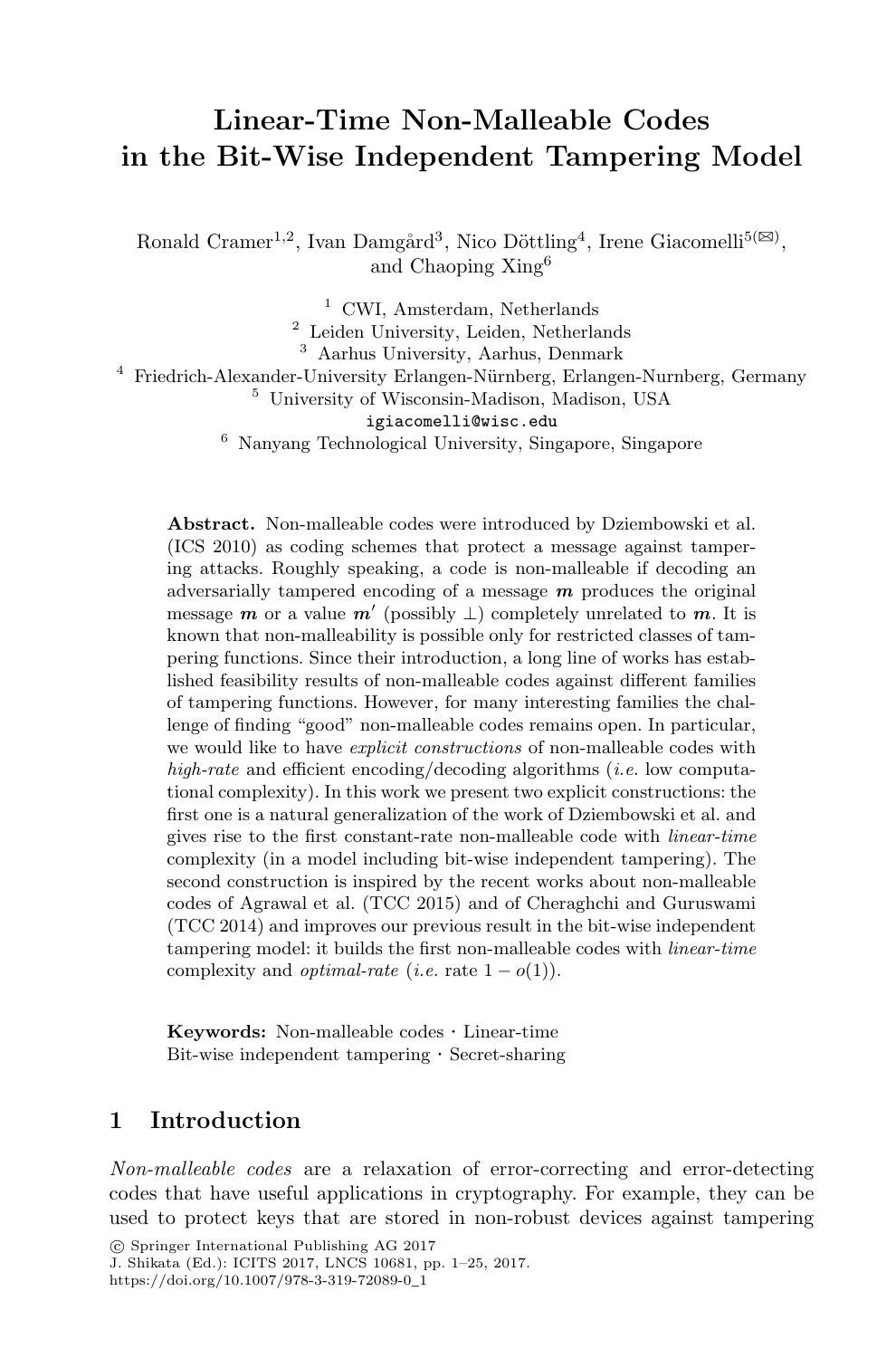# **Linear-Time Non-Malleable Codes in the Bit-Wise Independent Tampering Model**

Ronald Cramer<sup>1,2</sup>, Ivan Damgård<sup>3</sup>, Nico Döttling<sup>4</sup>, Irene Giacomelli<sup>5( $\boxtimes$ )</sup>, and Chaoping Xing<sup>6</sup>

<sup>1</sup> CWI, Amsterdam, Netherlands Leiden University, Leiden, Netherlands Aarhus University, Aarhus, Denmark Friedrich-Alexander-University Erlangen-N¨urnberg, Erlangen-Nurnberg, Germany University of Wisconsin-Madison, Madison, USA igiacomelli@wisc.edu Nanyang Technological University, Singapore, Singapore

**Abstract.** Non-malleable codes were introduced by Dziembowski et al. (ICS 2010) as coding schemes that protect a message against tampering attacks. Roughly speaking, a code is non-malleable if decoding an adversarially tampered encoding of a message *m* produces the original message *m* or a value  $m'$  (possibly  $\perp$ ) completely unrelated to *m*. It is known that non-malleability is possible only for restricted classes of tampering functions. Since their introduction, a long line of works has established feasibility results of non-malleable codes against different families of tampering functions. However, for many interesting families the challenge of finding "good" non-malleable codes remains open. In particular, we would like to have *explicit constructions* of non-malleable codes with *high-rate* and efficient encoding/decoding algorithms (*i.e.* low computational complexity). In this work we present two explicit constructions: the first one is a natural generalization of the work of Dziembowski et al. and gives rise to the first constant-rate non-malleable code with *linear-time* complexity (in a model including bit-wise independent tampering). The second construction is inspired by the recent works about non-malleable codes of Agrawal et al. (TCC 2015) and of Cheraghchi and Guruswami (TCC 2014) and improves our previous result in the bit-wise independent tampering model: it builds the first non-malleable codes with *linear-time* complexity and *optimal-rate* (*i.e.* rate  $1 - o(1)$ ).

**Keywords:** Non-malleable codes · Linear-time Bit-wise independent tampering · Secret-sharing

### **1 Introduction**

*Non-malleable codes* are a relaxation of error-correcting and error-detecting codes that have useful applications in cryptography. For example, they can be used to protect keys that are stored in non-robust devices against tampering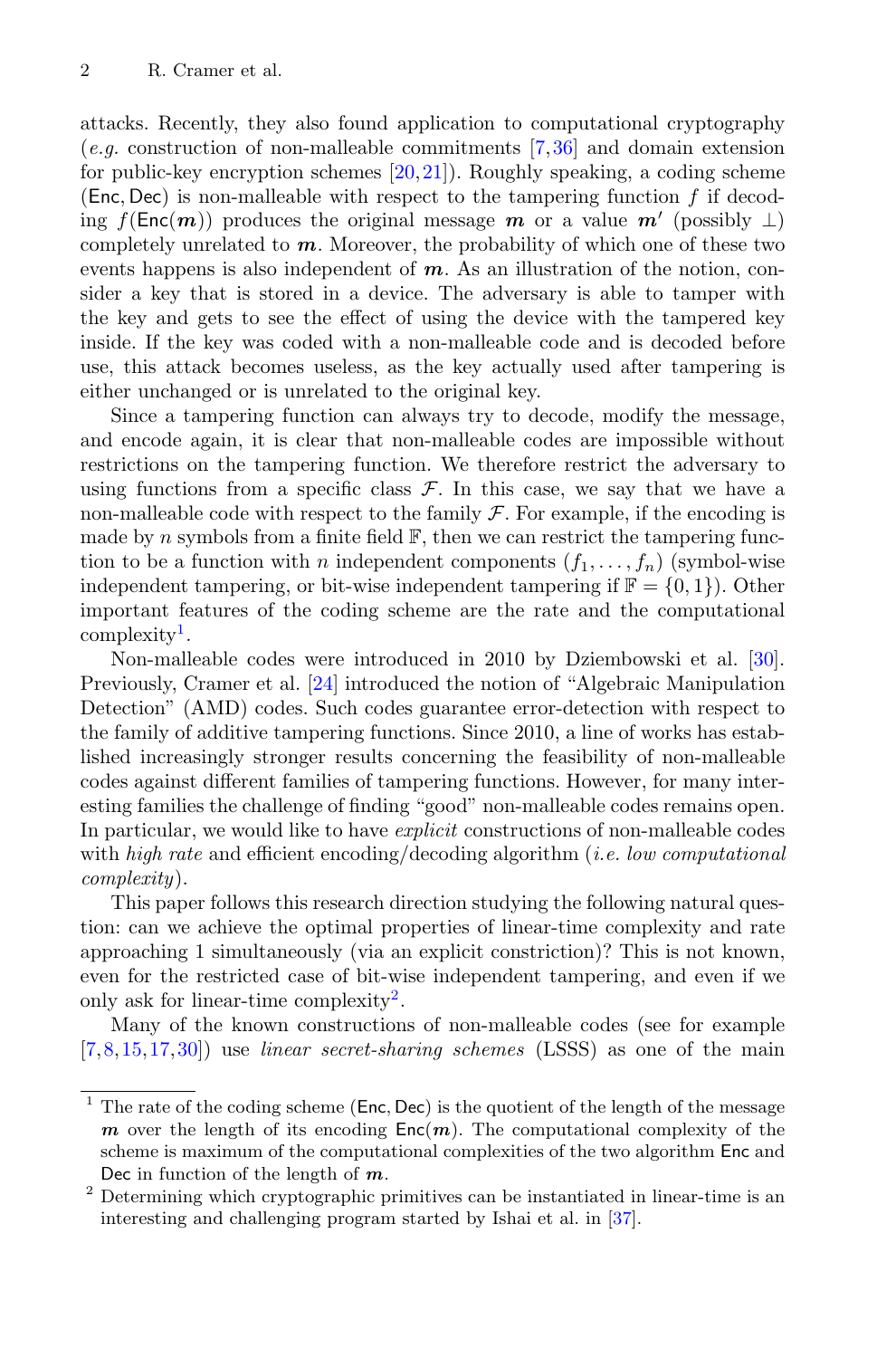attacks. Recently, they also found application to computational cryptography (*e.g.* construction of non-malleable commitments [\[7](#page-22-0)[,36](#page-24-0)] and domain extension for public-key encryption schemes [\[20,](#page-22-1)[21](#page-22-2)]). Roughly speaking, a coding scheme (Enc, Dec) is non-malleable with respect to the tampering function  $f$  if decoding  $f(\text{Enc}(m))$  produces the original message *m* or a value  $m'$  (possibly  $\perp$ ) completely unrelated to *m*. Moreover, the probability of which one of these two events happens is also independent of *m*. As an illustration of the notion, consider a key that is stored in a device. The adversary is able to tamper with the key and gets to see the effect of using the device with the tampered key inside. If the key was coded with a non-malleable code and is decoded before use, this attack becomes useless, as the key actually used after tampering is either unchanged or is unrelated to the original key.

Since a tampering function can always try to decode, modify the message, and encode again, it is clear that non-malleable codes are impossible without restrictions on the tampering function. We therefore restrict the adversary to using functions from a specific class  $\mathcal F$ . In this case, we say that we have a non-malleable code with respect to the family  $\mathcal F$ . For example, if the encoding is made by n symbols from a finite field  $\mathbb{F}$ , then we can restrict the tampering function to be a function with n independent components  $(f_1, \ldots, f_n)$  (symbol-wise independent tampering, or bit-wise independent tampering if  $\mathbb{F} = \{0, 1\}$ . Other important features of the coding scheme are the rate and the computational complexity<sup>[1](#page-1-0)</sup>.

Non-malleable codes were introduced in 2010 by Dziembowski et al. [\[30\]](#page-23-0). Previously, Cramer et al. [\[24](#page-23-1)] introduced the notion of "Algebraic Manipulation Detection" (AMD) codes. Such codes guarantee error-detection with respect to the family of additive tampering functions. Since 2010, a line of works has established increasingly stronger results concerning the feasibility of non-malleable codes against different families of tampering functions. However, for many interesting families the challenge of finding "good" non-malleable codes remains open. In particular, we would like to have *explicit* constructions of non-malleable codes with *high rate* and efficient encoding/decoding algorithm (*i.e. low computational complexity*).

This paper follows this research direction studying the following natural question: can we achieve the optimal properties of linear-time complexity and rate approaching 1 simultaneously (via an explicit constriction)? This is not known, even for the restricted case of bit-wise independent tampering, and even if we only ask for linear-time complexity<sup>[2](#page-1-1)</sup>.

Many of the known constructions of non-malleable codes (see for example [\[7](#page-22-0),[8,](#page-22-3)[15](#page-22-4)[,17](#page-22-5)[,30](#page-23-0)]) use *linear secret-sharing schemes* (LSSS) as one of the main

<span id="page-1-0"></span><sup>&</sup>lt;sup>1</sup> The rate of the coding scheme ( $Enc, Dec$ ) is the quotient of the length of the message *m* over the length of its encoding  $Enc(m)$ . The computational complexity of the scheme is maximum of the computational complexities of the two algorithm Enc and Dec in function of the length of *m*.

<span id="page-1-1"></span><sup>2</sup> Determining which cryptographic primitives can be instantiated in linear-time is an interesting and challenging program started by Ishai et al. in [\[37\]](#page-24-1).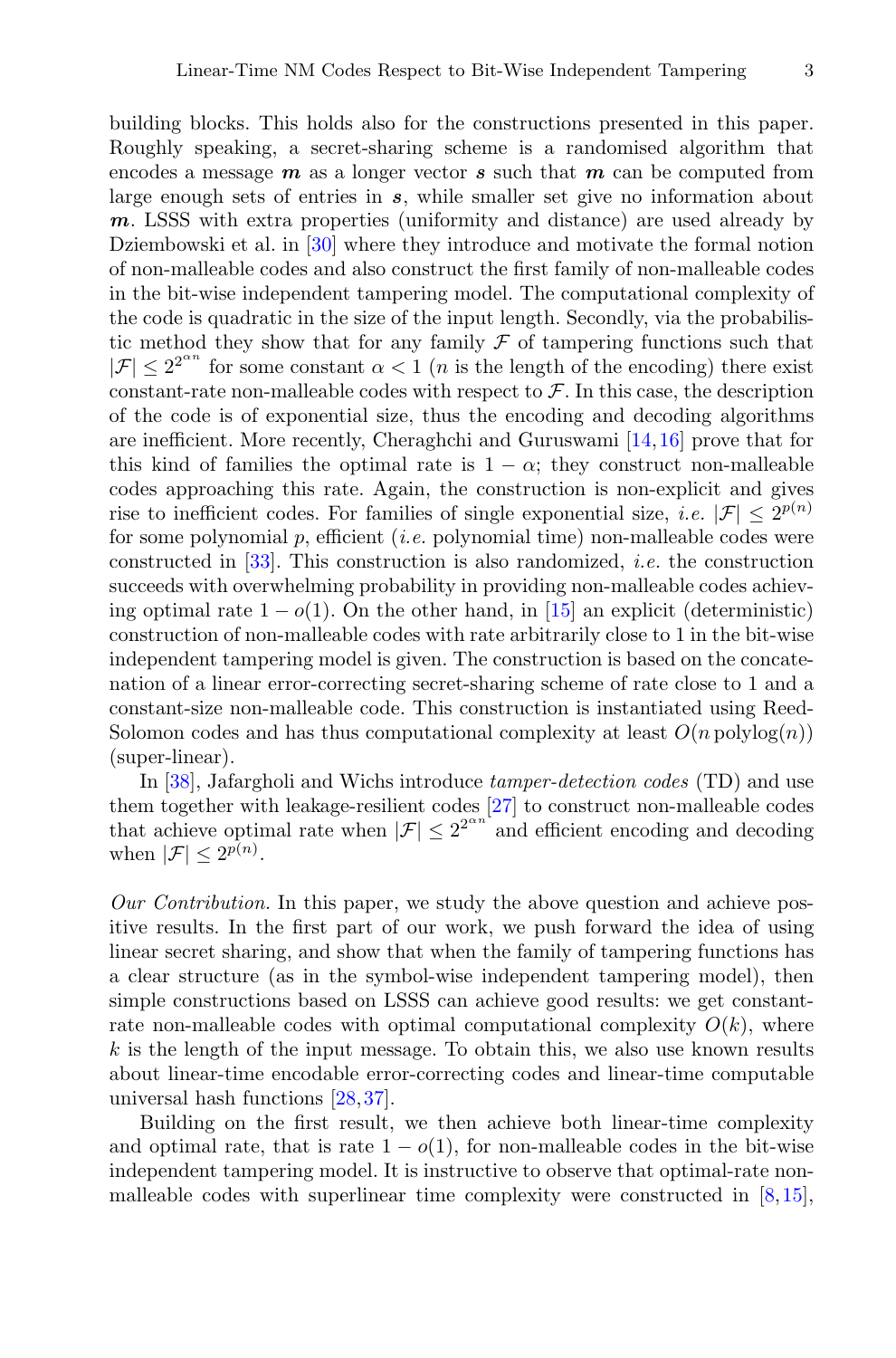building blocks. This holds also for the constructions presented in this paper. Roughly speaking, a secret-sharing scheme is a randomised algorithm that encodes a message *m* as a longer vector *s* such that *m* can be computed from large enough sets of entries in *s*, while smaller set give no information about *m*. LSSS with extra properties (uniformity and distance) are used already by Dziembowski et al. in [\[30\]](#page-23-0) where they introduce and motivate the formal notion of non-malleable codes and also construct the first family of non-malleable codes in the bit-wise independent tampering model. The computational complexity of the code is quadratic in the size of the input length. Secondly, via the probabilistic method they show that for any family  $\mathcal F$  of tampering functions such that  $|\mathcal{F}| < 2^{2^{2^{n}}}\text{ for some constant }\alpha < 1$  (*n* is the length of the encoding) there exist constant-rate non-malleable codes with respect to  $\mathcal{F}$ . In this case, the description of the code is of exponential size, thus the encoding and decoding algorithms are inefficient. More recently, Cheraghchi and Guruswami [\[14](#page-22-6)[,16](#page-22-7)] prove that for this kind of families the optimal rate is  $1 - \alpha$ ; they construct non-malleable codes approaching this rate. Again, the construction is non-explicit and gives rise to inefficient codes. For families of single exponential size, *i.e.*  $|\mathcal{F}| \leq 2^{p(n)}$ for some polynomial p, efficient (*i.e.* polynomial time) non-malleable codes were constructed in [\[33\]](#page-23-2). This construction is also randomized, *i.e.* the construction succeeds with overwhelming probability in providing non-malleable codes achieving optimal rate  $1 - o(1)$ . On the other hand, in [\[15\]](#page-22-4) an explicit (deterministic) construction of non-malleable codes with rate arbitrarily close to 1 in the bit-wise independent tampering model is given. The construction is based on the concatenation of a linear error-correcting secret-sharing scheme of rate close to 1 and a constant-size non-malleable code. This construction is instantiated using Reed-Solomon codes and has thus computational complexity at least  $O(n \text{ polylog}(n))$ (super-linear).

In [\[38](#page-24-2)], Jafargholi and Wichs introduce *tamper-detection codes* (TD) and use them together with leakage-resilient codes [\[27](#page-23-3)] to construct non-malleable codes that achieve optimal rate when  $|\mathcal{F}| \leq 2^{2^{\alpha n}}$  and efficient encoding and decoding when  $|\mathcal{F}| < 2^{p(n)}$ .

*Our Contribution.* In this paper, we study the above question and achieve positive results. In the first part of our work, we push forward the idea of using linear secret sharing, and show that when the family of tampering functions has a clear structure (as in the symbol-wise independent tampering model), then simple constructions based on LSSS can achieve good results: we get constantrate non-malleable codes with optimal computational complexity  $O(k)$ , where  $k$  is the length of the input message. To obtain this, we also use known results about linear-time encodable error-correcting codes and linear-time computable universal hash functions [\[28](#page-23-4)[,37](#page-24-1)].

Building on the first result, we then achieve both linear-time complexity and optimal rate, that is rate  $1 - o(1)$ , for non-malleable codes in the bit-wise independent tampering model. It is instructive to observe that optimal-rate nonmalleable codes with superlinear time complexity were constructed in [\[8](#page-22-3),[15\]](#page-22-4),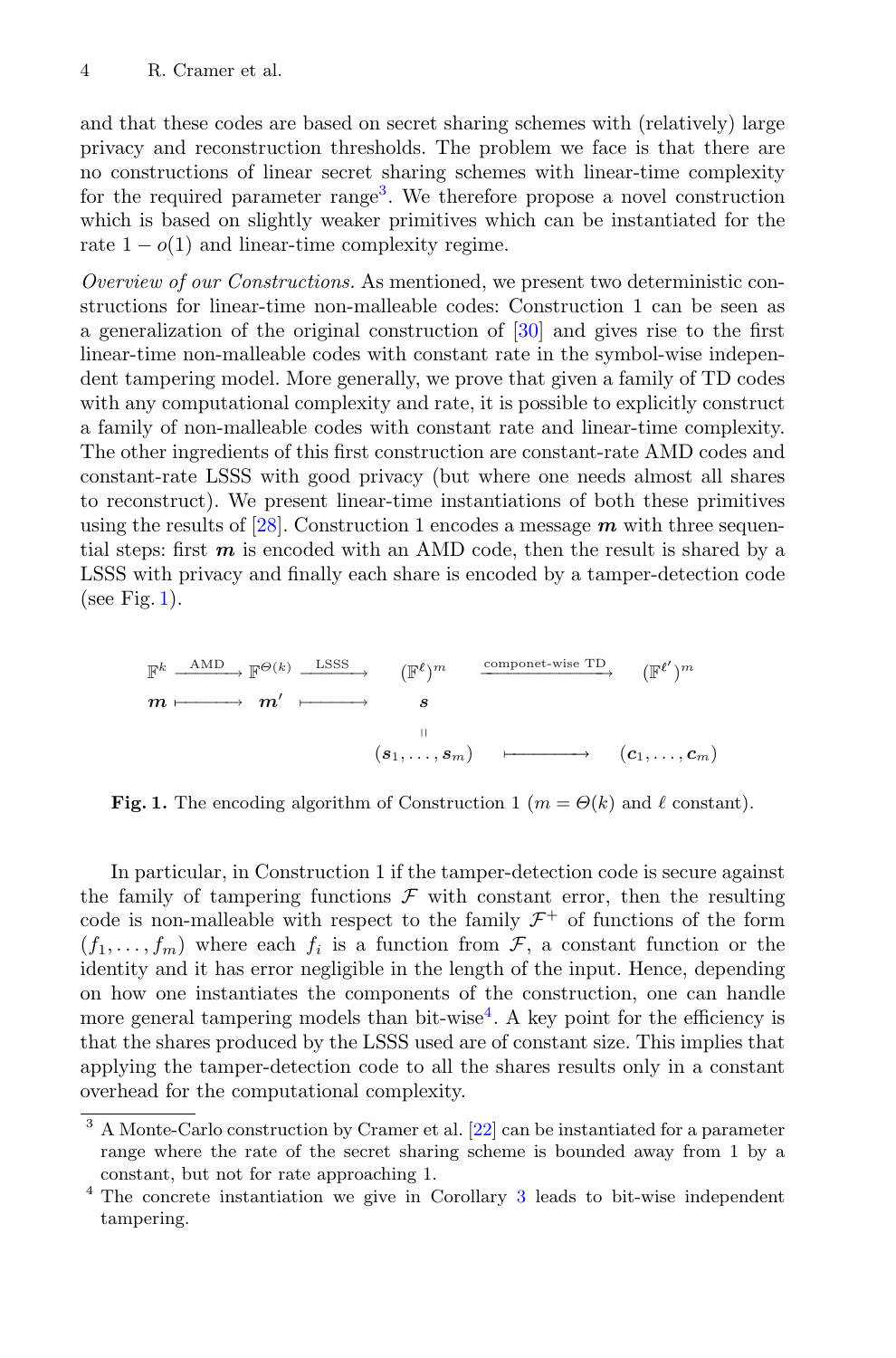and that these codes are based on secret sharing schemes with (relatively) large privacy and reconstruction thresholds. The problem we face is that there are no constructions of linear secret sharing schemes with linear-time complexity for the required parameter range<sup>[3](#page-3-0)</sup>. We therefore propose a novel construction which is based on slightly weaker primitives which can be instantiated for the rate  $1 - o(1)$  and linear-time complexity regime.

*Overview of our Constructions.* As mentioned, we present two deterministic constructions for linear-time non-malleable codes: Construction 1 can be seen as a generalization of the original construction of [\[30](#page-23-0)] and gives rise to the first linear-time non-malleable codes with constant rate in the symbol-wise independent tampering model. More generally, we prove that given a family of TD codes with any computational complexity and rate, it is possible to explicitly construct a family of non-malleable codes with constant rate and linear-time complexity. The other ingredients of this first construction are constant-rate AMD codes and constant-rate LSSS with good privacy (but where one needs almost all shares to reconstruct). We present linear-time instantiations of both these primitives using the results of [\[28\]](#page-23-4). Construction 1 encodes a message *m* with three sequential steps: first *m* is encoded with an AMD code, then the result is shared by a LSSS with privacy and finally each share is encoded by a tamper-detection code (see Fig. [1\)](#page-3-1).

<sup>F</sup><sup>k</sup> AMD −−−−−→ <sup>F</sup>Θ(k) LSSS −−−−−→ (<sup>F</sup> ) m componet-wise TD −−−−−−−−−−−−→ (<sup>F</sup> ) *m* −−−−−→ *m* −−−−−→ *s* (*s*1*,..., <sup>s</sup>*m) (*c*1*,..., <sup>c</sup>*m)

<span id="page-3-1"></span>**Fig. 1.** The encoding algorithm of Construction 1 ( $m = \Theta(k)$  and  $\ell$  constant).

In particular, in Construction 1 if the tamper-detection code is secure against the family of tampering functions  $\mathcal F$  with constant error, then the resulting code is non-malleable with respect to the family  $\mathcal{F}^+$  of functions of the form  $(f_1, \ldots, f_m)$  where each  $f_i$  is a function from  $\mathcal{F}$ , a constant function or the identity and it has error negligible in the length of the input. Hence, depending on how one instantiates the components of the construction, one can handle more general tampering models than bit-wise<sup>[4](#page-3-2)</sup>. A key point for the efficiency is that the shares produced by the LSSS used are of constant size. This implies that applying the tamper-detection code to all the shares results only in a constant overhead for the computational complexity.

<span id="page-3-0"></span><sup>&</sup>lt;sup>3</sup> A Monte-Carlo construction by Cramer et al. [\[22](#page-23-5)] can be instantiated for a parameter range where the rate of the secret sharing scheme is bounded away from 1 by a constant, but not for rate approaching 1.

<span id="page-3-2"></span><sup>4</sup> The concrete instantiation we give in Corollary [3](#page-14-0) leads to bit-wise independent tampering.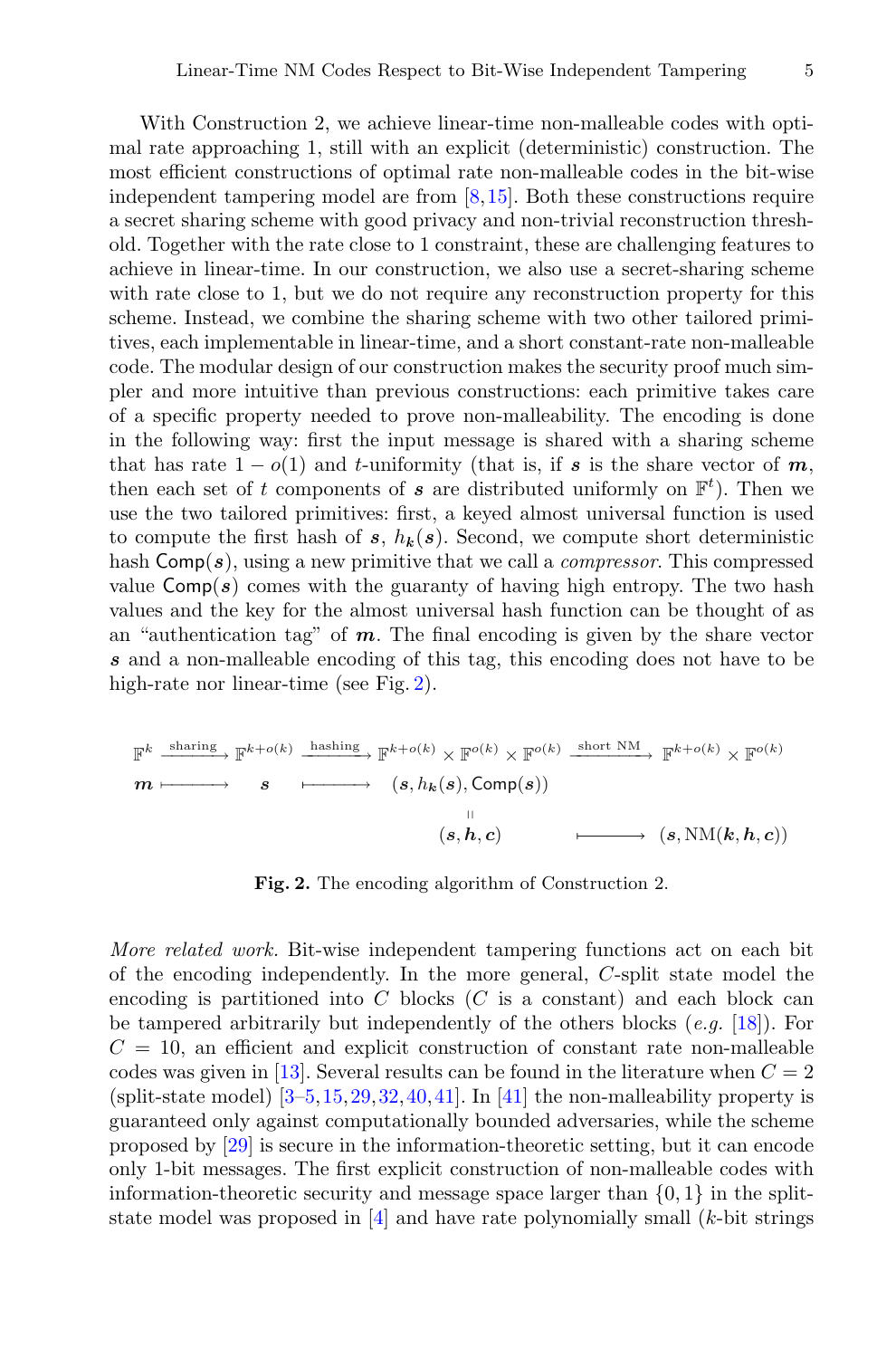With Construction 2, we achieve linear-time non-malleable codes with optimal rate approaching 1, still with an explicit (deterministic) construction. The most efficient constructions of optimal rate non-malleable codes in the bit-wise independent tampering model are from [\[8](#page-22-3)[,15](#page-22-4)]. Both these constructions require a secret sharing scheme with good privacy and non-trivial reconstruction threshold. Together with the rate close to 1 constraint, these are challenging features to achieve in linear-time. In our construction, we also use a secret-sharing scheme with rate close to 1, but we do not require any reconstruction property for this scheme. Instead, we combine the sharing scheme with two other tailored primitives, each implementable in linear-time, and a short constant-rate non-malleable code. The modular design of our construction makes the security proof much simpler and more intuitive than previous constructions: each primitive takes care of a specific property needed to prove non-malleability. The encoding is done in the following way: first the input message is shared with a sharing scheme that has rate  $1 - o(1)$  and *t*-uniformity (that is, if *s* is the share vector of *m*, then each set of t components of **s** are distributed uniformly on  $\mathbb{F}^t$ ). Then we use the two tailored primitives: first, a keyed almost universal function is used to compute the first hash of  $s, h_k(s)$ . Second, we compute short deterministic hash Comp(*s*), using a new primitive that we call a *compressor*. This compressed value  $Comp(s)$  comes with the guaranty of having high entropy. The two hash values and the key for the almost universal hash function can be thought of as an "authentication tag" of *m*. The final encoding is given by the share vector *s* and a non-malleable encoding of this tag, this encoding does not have to be high-rate nor linear-time (see Fig. [2\)](#page-4-0).

$$
\mathbb{F}^{k} \xrightarrow{\text{sharp}} \mathbb{F}^{k+o(k)} \xrightarrow{\text{hashing}} \mathbb{F}^{k+o(k)} \times \mathbb{F}^{o(k)} \times \mathbb{F}^{o(k)} \xrightarrow{\text{short NM}} \mathbb{F}^{k+o(k)} \times \mathbb{F}^{o(k)}
$$
\n
$$
m \longmapsto s \xrightarrow{\qquad} (s, h_k(s), \text{Comp}(s))
$$
\n
$$
\xrightarrow{\qquad \qquad} (s, h, c) \xrightarrow{\qquad \qquad} (s, \text{NM}(k, h, c))
$$

<span id="page-4-0"></span>**Fig. 2.** The encoding algorithm of Construction 2.

*More related work.* Bit-wise independent tampering functions act on each bit of the encoding independently. In the more general, C-split state model the encoding is partitioned into  $C$  blocks  $(C$  is a constant) and each block can be tampered arbitrarily but independently of the others blocks (*e.g.* [\[18\]](#page-22-8)). For  $C = 10$ , an efficient and explicit construction of constant rate non-malleable codes was given in [\[13](#page-22-9)]. Several results can be found in the literature when  $C = 2$ (split-state model)  $[3-5, 15, 29, 32, 40, 41]$  $[3-5, 15, 29, 32, 40, 41]$  $[3-5, 15, 29, 32, 40, 41]$  $[3-5, 15, 29, 32, 40, 41]$  $[3-5, 15, 29, 32, 40, 41]$  $[3-5, 15, 29, 32, 40, 41]$ . In [\[41](#page-24-4)] the non-malleability property is guaranteed only against computationally bounded adversaries, while the scheme proposed by [\[29\]](#page-23-6) is secure in the information-theoretic setting, but it can encode only 1-bit messages. The first explicit construction of non-malleable codes with information-theoretic security and message space larger than  $\{0, 1\}$  in the splitstate model was proposed in  $[4]$  $[4]$  and have rate polynomially small  $(k$ -bit strings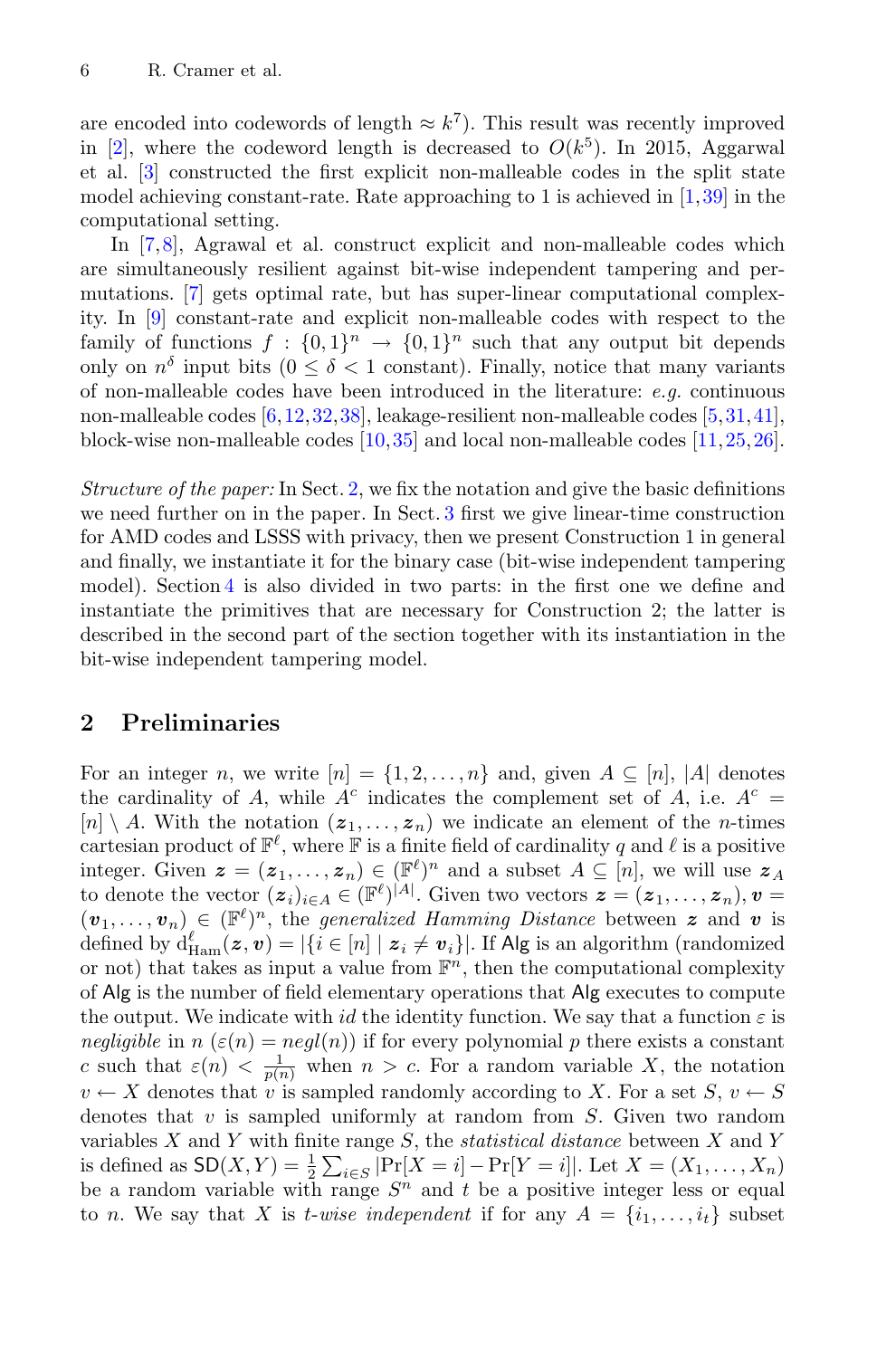are encoded into codewords of length  $\approx k^7$ ). This result was recently improved in [\[2](#page-21-3)], where the codeword length is decreased to  $O(k^5)$ . In 2015, Aggarwal et al. [\[3](#page-21-0)] constructed the first explicit non-malleable codes in the split state model achieving constant-rate. Rate approaching to 1 is achieved in  $[1,39]$  $[1,39]$  $[1,39]$  in the computational setting.

In [\[7,](#page-22-0)[8\]](#page-22-3), Agrawal et al. construct explicit and non-malleable codes which are simultaneously resilient against bit-wise independent tampering and permutations. [\[7](#page-22-0)] gets optimal rate, but has super-linear computational complexity. In [\[9](#page-22-10)] constant-rate and explicit non-malleable codes with respect to the family of functions  $f : \{0,1\}^n \to \{0,1\}^n$  such that any output bit depends only on  $n^{\delta}$  input bits  $(0 \leq \delta \leq 1 \text{ constant})$ . Finally, notice that many variants of non-malleable codes have been introduced in the literature: *e.g.* continuous non-malleable codes [\[6,](#page-21-5)[12](#page-22-11)[,32](#page-23-7),[38\]](#page-24-2), leakage-resilient non-malleable codes [\[5](#page-21-1)[,31,](#page-23-8)[41\]](#page-24-4), block-wise non-malleable codes  $[10,35]$  $[10,35]$  and local non-malleable codes  $[11,25,26]$  $[11,25,26]$  $[11,25,26]$ .

*Structure of the paper:* In Sect. [2,](#page-5-0) we fix the notation and give the basic definitions we need further on in the paper. In Sect. [3](#page-8-0) first we give linear-time construction for AMD codes and LSSS with privacy, then we present Construction 1 in general and finally, we instantiate it for the binary case (bit-wise independent tampering model). Section [4](#page-14-1) is also divided in two parts: in the first one we define and instantiate the primitives that are necessary for Construction 2; the latter is described in the second part of the section together with its instantiation in the bit-wise independent tampering model.

### <span id="page-5-0"></span>**2 Preliminaries**

For an integer n, we write  $[n] = \{1, 2, ..., n\}$  and, given  $A \subseteq [n]$ ,  $|A|$  denotes the cardinality of A, while  $A^c$  indicates the complement set of A, i.e.  $A^c =$  $[n] \setminus A$ . With the notation  $(z_1,..., z_n)$  we indicate an element of the *n*-times cartesian product of  $\mathbb{F}^{\ell}$ , where  $\mathbb F$  is a finite field of cardinality q and  $\ell$  is a positive integer. Given  $\mathbf{z} = (\mathbf{z}_1, \dots, \mathbf{z}_n) \in (\mathbb{F}^{\ell})^n$  and a subset  $A \subseteq [n]$ , we will use  $\mathbf{z}_A$ to denote the vector  $(z_i)_{i\in A} \in (\mathbb{F}^{\ell})^{|A|}$ . Given two vectors  $z = (z_1, \ldots, z_n), v =$  $(v_1,\ldots,v_n) \in (\mathbb{F}^{\ell})^n$ , the *generalized Hamming Distance* between **z** and **v** is defined by  $d_{\text{Ham}}^{\ell}(z, v) = |\{i \in [n] \mid z_i \neq v_i\}|$ . If Alg is an algorithm (randomized<br>or not) that takes as input a value from  $\mathbb{F}^n$ , then the computational complexity or not) that takes as input a value from  $\mathbb{F}^n$ , then the computational complexity of Alg is the number of field elementary operations that Alg executes to compute the output. We indicate with id the identity function. We say that a function  $\varepsilon$  is *negligible* in  $n(\varepsilon(n) = negl(n))$  if for every polynomial p there exists a constant c such that  $\varepsilon(n) < \frac{1}{p(n)}$  when  $n > c$ . For a random variable X, the notation  $v \leftarrow X$  denotes that v is sampled randomly according to X. For a set  $S, v \leftarrow S$ denotes that  $v$  is sampled uniformly at random from  $S$ . Given two random variables X and Y with finite range S, the *statistical distance* between X and Y is defined as  $SD(X, Y) = \frac{1}{2} \sum_{i \in S} |Pr[X = i] - Pr[Y = i]|$ . Let  $X = (X_1, \ldots, X_n)$ be a random variable with range  $S<sup>n</sup>$  and t be a positive integer less or equal to *n*. We say that X is *t*-wise independent if for any  $A = \{i_1, \ldots, i_t\}$  subset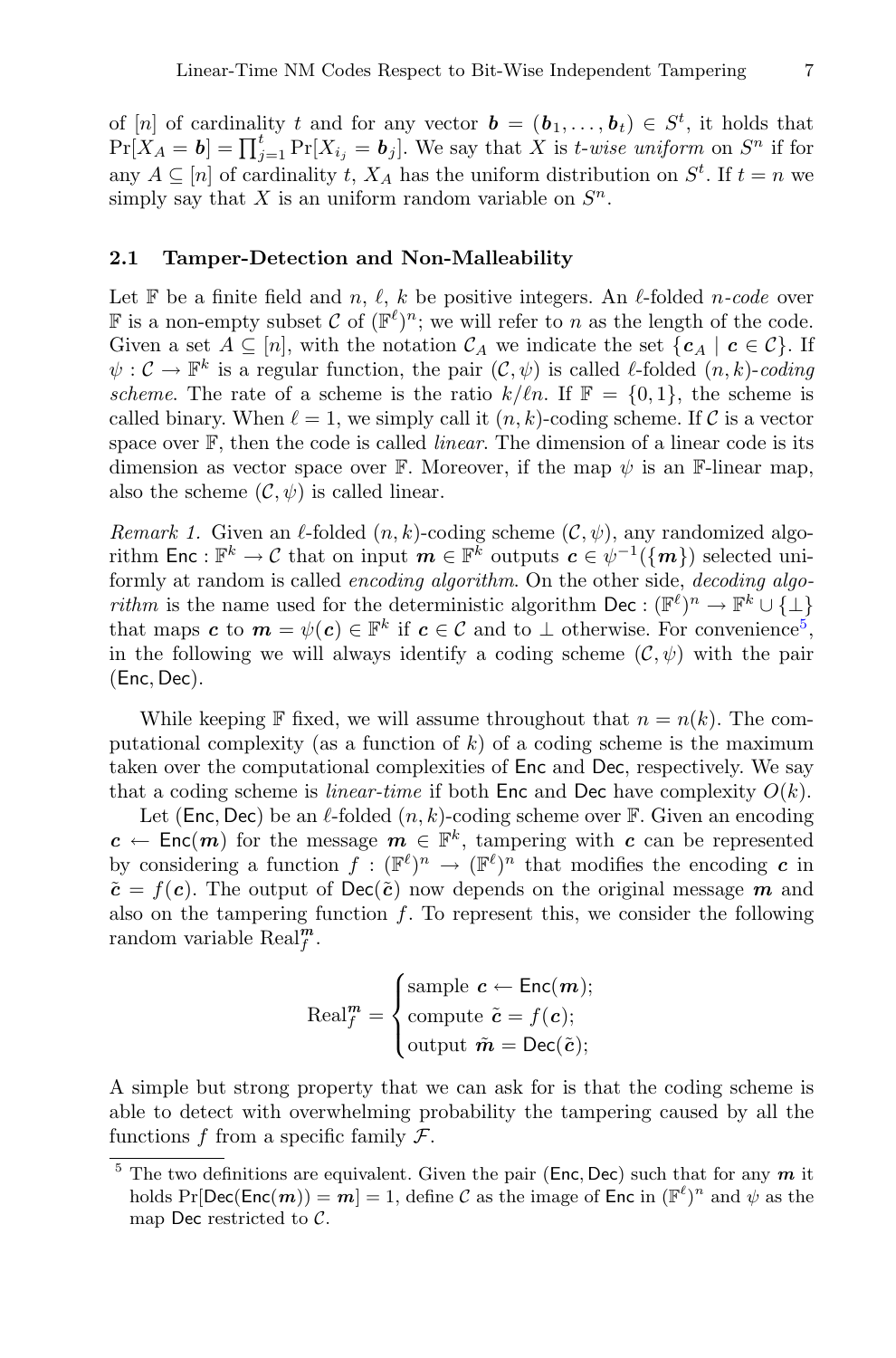of [n] of cardinality t and for any vector  $\mathbf{b} = (\mathbf{b}_1, \dots, \mathbf{b}_t) \in S^t$ , it holds that  $\Pr[X_A = b] = \prod_{j=1}^t \Pr[X_{i_j} = b_j]$ . We say that X is *t-wise uniform* on  $S^n$  if for any  $A \subseteq [n]$  of cardinality  $t, X_A$  has the uniform distribution on  $S^t$ . If  $t = n$  we simply say that X is an uniform random variable on  $S<sup>n</sup>$ .

#### **2.1 Tamper-Detection and Non-Malleability**

Let  $\mathbb F$  be a finite field and n,  $\ell$ , k be positive integers. An  $\ell$ -folded n-code over **F** is a non-empty subset C of  $(\mathbb{F}^{\ell})^n$ ; we will refer to n as the length of the code. Given a set  $A \subseteq [n]$ , with the notation  $\mathcal{C}_A$  we indicate the set  $\{c_A \mid c \in \mathcal{C}\}\$ . If  $\psi: \mathcal{C} \to \mathbb{F}^k$  is a regular function, the pair  $(\mathcal{C}, \psi)$  is called  $\ell$ -folded  $(n, k)$ -*coding scheme*. The rate of a scheme is the ratio  $k/\ell n$ . If  $\mathbb{F} = \{0, 1\}$ , the scheme is called binary. When  $\ell = 1$ , we simply call it  $(n, k)$ -coding scheme. If C is a vector space over F, then the code is called *linear*. The dimension of a linear code is its dimension as vector space over F. Moreover, if the map  $\psi$  is an F-linear map, also the scheme  $(C, \psi)$  is called linear.

*Remark 1.* Given an  $\ell$ -folded  $(n, k)$ -coding scheme  $(\mathcal{C}, \psi)$ , any randomized algorithm Enc :  $\mathbb{F}^k \to \mathcal{C}$  that on input  $m \in \mathbb{F}^k$  outputs  $c \in \psi^{-1}(\{m\})$  selected uniformly at random is called *encoding algorithm*. On the other side, *decoding algorithm* is the name used for the deterministic algorithm Dec :  $(\mathbb{F}^{\ell})^n \to \mathbb{F}^k \cup \{\perp\}$ that maps *c* to  $m = \psi(c) \in \mathbb{F}^k$  if  $c \in \mathcal{C}$  and to  $\perp$  otherwise. For convenience<sup>[5](#page-6-0)</sup>, in the following we will always identify a coding scheme  $(\mathcal{C}, \psi)$  with the pair (Enc, Dec).

While keeping F fixed, we will assume throughout that  $n = n(k)$ . The computational complexity (as a function of  $k$ ) of a coding scheme is the maximum taken over the computational complexities of Enc and Dec, respectively. We say that a coding scheme is *linear-time* if both Enc and Dec have complexity  $O(k)$ .

Let (Enc, Dec) be an  $\ell$ -folded  $(n, k)$ -coding scheme over F. Given an encoding  $c \leftarrow \text{Enc}(m)$  for the message  $m \in \mathbb{F}^k$ , tampering with *c* can be represented by considering a function  $f : (\mathbb{F}^{\ell})^n \to (\mathbb{F}^{\ell})^n$  that modifies the encoding *c* in  $\tilde{\mathbf{c}} = f(\mathbf{c})$ . The output of Dec( $\tilde{\mathbf{c}}$ ) now depends on the original message *m* and also on the tampering function  $f$ . To represent this, we consider the following random variable  $\operatorname{Real}_{f}^{\mathbf{m}}$ .

$$
\text{Real}_{f}^{m} = \begin{cases} \text{sample } c \leftarrow \text{Enc}(m); \\ \text{compute } \tilde{c} = f(c); \\ \text{output } \tilde{m} = \text{Dec}(\tilde{c}); \end{cases}
$$

A simple but strong property that we can ask for is that the coding scheme is able to detect with overwhelming probability the tampering caused by all the functions f from a specific family  $\mathcal{F}$ .

<span id="page-6-0"></span><sup>5</sup> The two definitions are equivalent. Given the pair (Enc, Dec) such that for any *<sup>m</sup>* it holds  $Pr[Dec(Enc(m)) = m] = 1$ , define C as the image of Enc in  $(\mathbb{F}^{\ell})^n$  and  $\psi$  as the map Dec restricted to C.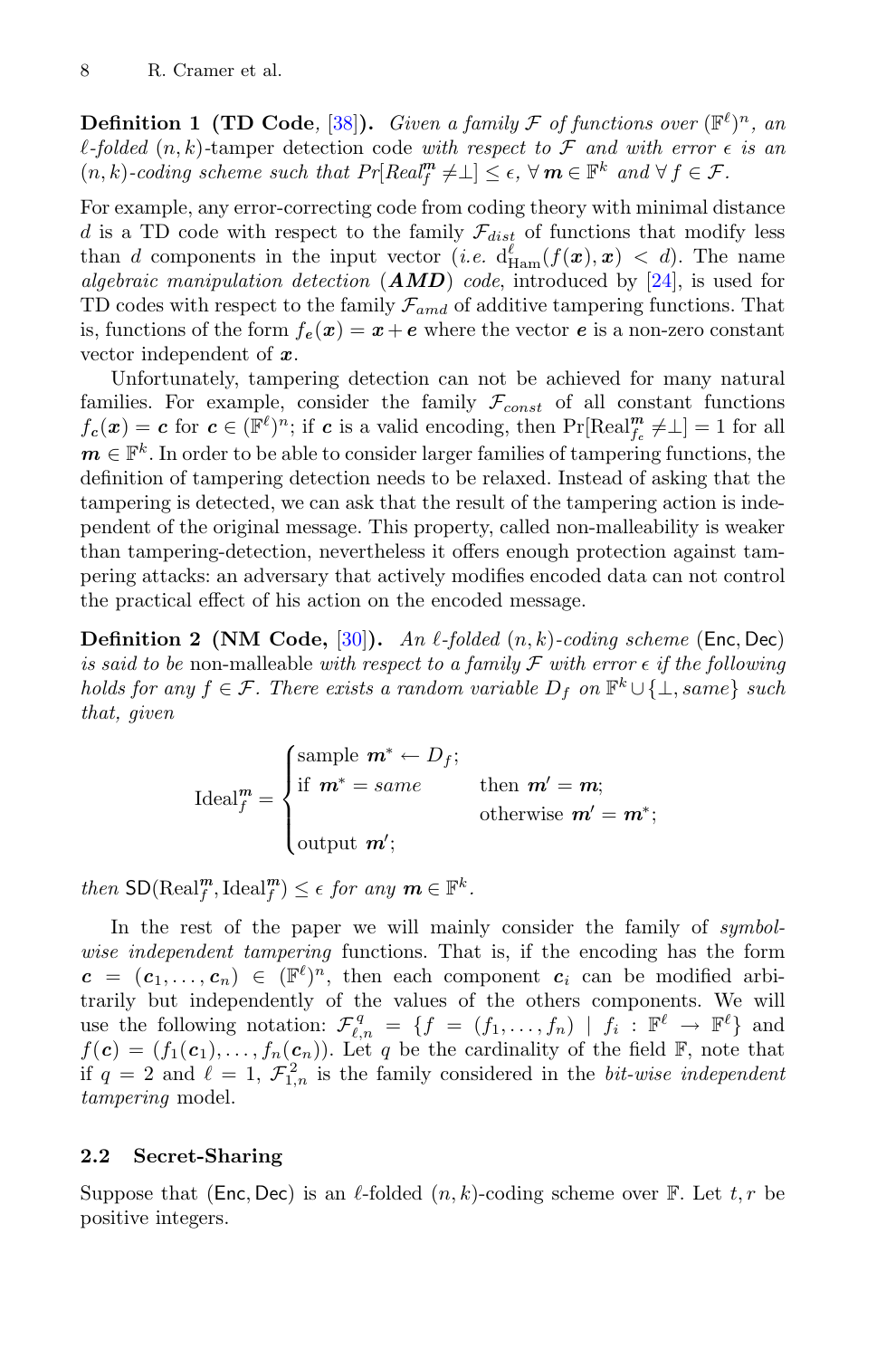**Definition 1 (TD Code**, [\[38](#page-24-2)]). *Given a family*  $\mathcal F$  *of functions over*  $(\mathbb{F}^{\ell})^n$ *, an l*-folded  $(n, k)$ -tamper detection code with respect to  $\mathcal F$  and with error  $\epsilon$  is an  $(n, k)$ -coding scheme such that  $Pr[Real_f^m \neq \bot] \leq \epsilon$ ,  $\forall m \in \mathbb{F}^k$  and  $\forall f \in \mathcal{F}$ .

For example, any error-correcting code from coding theory with minimal distance d is a TD code with respect to the family  $\mathcal{F}_{dist}$  of functions that modify less than d components in the input vector (*i.e.*  $d_{\text{Ham}}^{\ell}(f(\boldsymbol{x}), \boldsymbol{x}) < d$ ). The name *algebraic manipulation detection* (*AMD*) *code*, introduced by [\[24\]](#page-23-1), is used for TD codes with respect to the family  $\mathcal{F}_{amd}$  of additive tampering functions. That is, functions of the form  $f_e(\mathbf{x}) = \mathbf{x} + \mathbf{e}$  where the vector  $\mathbf{e}$  is a non-zero constant vector independent of *x*.

Unfortunately, tampering detection can not be achieved for many natural families. For example, consider the family  $\mathcal{F}_{const}$  of all constant functions  $f_c(\mathbf{x}) = c$  for  $c \in (\mathbb{F}^{\ell})^n$ ; if *c* is a valid encoding, then  $\Pr[\text{Real}_{f_c}^m \neq \perp] = 1$  for all  $m \in \mathbb{F}^k$ . In order to be able to consider larger families of tampering functions, the definition of tampering detection needs to be relaxed. Instead of asking that the tampering is detected, we can ask that the result of the tampering action is independent of the original message. This property, called non-malleability is weaker than tampering-detection, nevertheless it offers enough protection against tampering attacks: an adversary that actively modifies encoded data can not control the practical effect of his action on the encoded message.

<span id="page-7-0"></span>**Definition 2 (NM Code,**  $[30]$ ). *An*  $\ell$ -folded  $(n, k)$ -coding scheme (Enc, Dec) *is said to be* non-malleable *with respect to a family*  $\mathcal F$  *with error*  $\epsilon$  *if the following holds for any*  $f \in \mathcal{F}$ *. There exists a random variable*  $D_f$  *on*  $\mathbb{F}^k \cup \{\perp, \text{same}\}$  *such that, given*

$$
\text{Ideal}_{f}^{m} = \begin{cases} \text{sample } m^{*} \leftarrow D_{f}; \\ \text{if } m^{*} = same \\ \text{otherwise } m' = m^{*}; \\ \text{output } m'; \end{cases}
$$

*then*  $\text{SD}(\text{Real}_f^m, \text{Ideal}_f^m) \leq \epsilon$  *for any*  $m \in \mathbb{F}^k$ *.* 

In the rest of the paper we will mainly consider the family of *symbolwise independent tampering* functions. That is, if the encoding has the form  $c = (c_1, \ldots, c_n) \in (\mathbb{F}^{\ell})^n$ , then each component  $c_i$  can be modified arbitrarily but independently of the values of the others components. We will use the following notation:  $\mathcal{F}_{\ell,n}^q = \{f = (f_1,\ldots,f_n) \mid f_i : \mathbb{F}^{\ell} \to \mathbb{F}^{\ell}\}\$  and  $f(c)=(f_1(c_1),\ldots,f_n(c_n)).$  Let q be the cardinality of the field F, note that if  $q = 2$  and  $\ell = 1, \mathcal{F}_{1,n}^2$  is the family considered in the *bit-wise independent tampering* model.

#### **2.2 Secret-Sharing**

Suppose that (Enc, Dec) is an  $\ell$ -folded  $(n, k)$ -coding scheme over F. Let  $t, r$  be positive integers.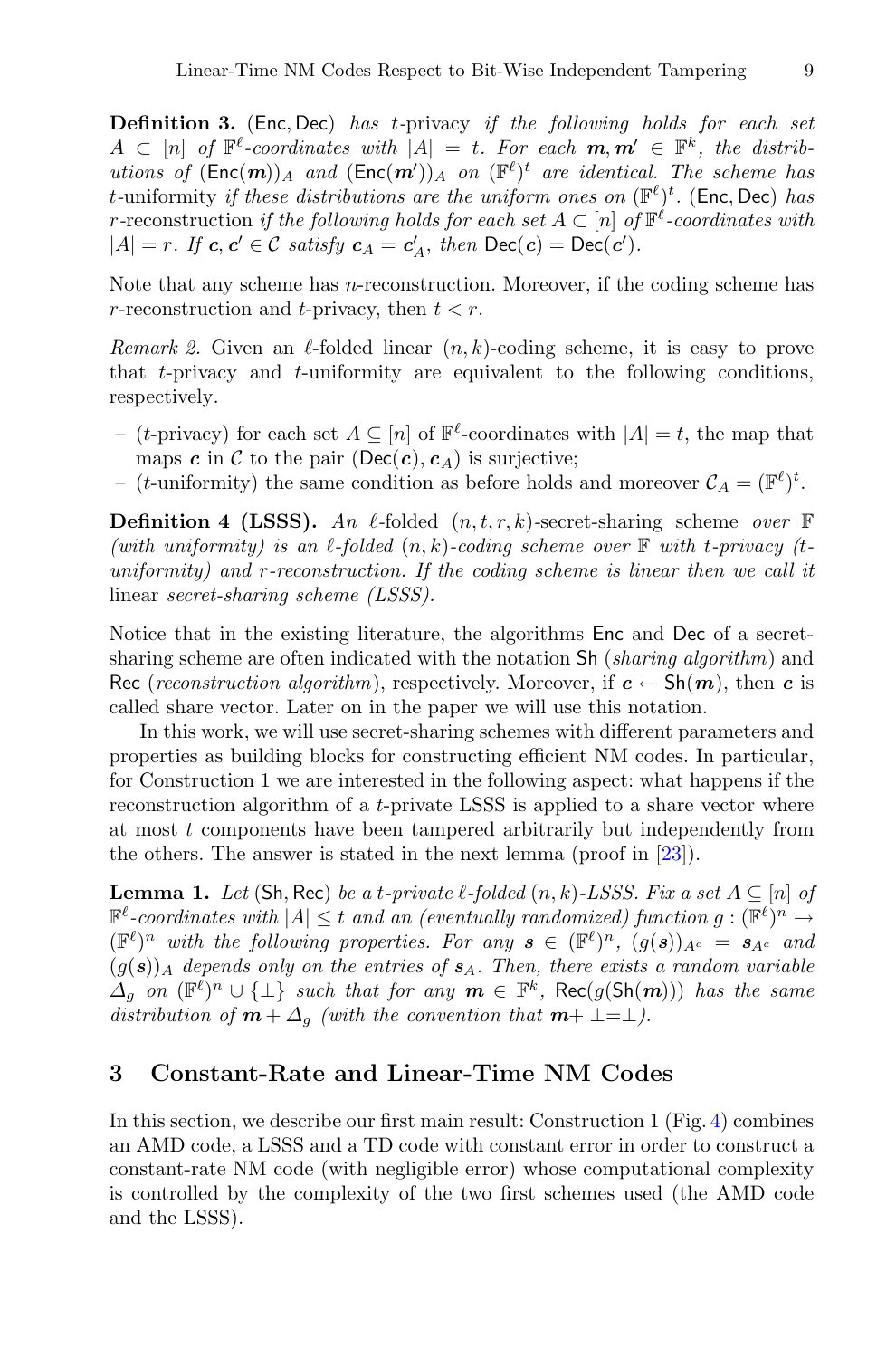**Definition 3.** (Enc, Dec) *has* <sup>t</sup>*-*privacy *if the following holds for each set*  $A \subset [n]$  of  $\mathbb{F}^{\ell}$ -coordinates with  $|A| = t$ . For each  $m, m' \in \mathbb{F}^k$ , the distrib*utions of*  $(\text{Enc}(m))_A$  *and*  $(\text{Enc}(m'))_A$  *on*  $(\mathbb{F}^{\ell})^t$  *are identical. The scheme has*<br>*t*-uniformity *if these distributions are the uniform ones on*  $(\mathbb{F}^{\ell})^t$  (**Fnc** Dec) has t-uniformity *if these distributions are the uniform ones on*  $(\mathbb{F}^{\ell})^t$ . (Enc, Dec) *has*<br>*r*-reconstruction *if the following holds for each set A*  $\subset$  [n] of  $\mathbb{F}^{\ell}$ -coordinates with *r*-reconstruction *if the following holds for each set*  $A \subset [n]$  *of*  $\mathbb{F}^{\ell}$ -coordinates with  $|A| = r$ *. If*  $c, c' \in C$  *satisfy*  $c_A = c'_A$ *, then*  $\text{Dec}(c) = \text{Dec}(c')$ *.* 

<span id="page-8-1"></span>Note that any scheme has *n*-reconstruction. Moreover, if the coding scheme has r-reconstruction and t-privacy, then  $t < r$ .

*Remark 2.* Given an  $\ell$ -folded linear  $(n, k)$ -coding scheme, it is easy to prove that t-privacy and t-uniformity are equivalent to the following conditions, respectively.

- (t-privacy) for each set  $A \subseteq [n]$  of  $\mathbb{F}^{\ell}$ -coordinates with  $|A| = t$ , the map that maps  $c$  in  $\mathcal C$  to the pair (Dec( $c$ ),  $c_A$ ) is surjective;
- (*t*-uniformity) the same condition as before holds and moreover  $C_A = (\mathbb{F}^{\ell})^t$ .

**Definition 4 (LSSS).** An  $\ell$ -folded  $(n, t, r, k)$ -secret-sharing scheme *over*  $\mathbb{F}$ *(with uniformity) is an*  $\ell$ *-folded*  $(n, k)$ -coding scheme over  $\mathbb{F}$  with t-privacy (t*uniformity) and* r*-reconstruction. If the coding scheme is linear then we call it* linear *secret-sharing scheme (LSSS).*

Notice that in the existing literature, the algorithms Enc and Dec of a secretsharing scheme are often indicated with the notation Sh (*sharing algorithm*) and Rec (*reconstruction algorithm*), respectively. Moreover, if  $c \leftarrow Sh(m)$ , then *c* is called share vector. Later on in the paper we will use this notation.

In this work, we will use secret-sharing schemes with different parameters and properties as building blocks for constructing efficient NM codes. In particular, for Construction 1 we are interested in the following aspect: what happens if the reconstruction algorithm of a t-private LSSS is applied to a share vector where at most t components have been tampered arbitrarily but independently from the others. The answer is stated in the next lemma (proof in [\[23](#page-23-12)]).

<span id="page-8-2"></span>**Lemma 1.** *Let* (Sh, Rec) *be a t-private*  $\ell$ -folded  $(n, k)$ -*LSSS. Fix a set*  $A \subseteq [n]$  *of*  $\mathbb{F}^{\ell}$ -coordinates with  $|A| \leq t$  and an (eventually randomized) function  $g: (\mathbb{F}^{\ell})^n \to$  $(\mathbb{F}^{\ell})^n$  *with the following properties. For any*  $\mathbf{s} \in (\mathbb{F}^{\ell})^n$ ,  $(g(\mathbf{s}))_{A^c} = s_{A^c}$  *and*  $(g(s))_A$  depends only on the entries of  $s_A$ . Then, there exists a random variable  $\overline{\Delta}_g$  *on*  $(\mathbb{F}^{\ell})^n \cup \{\perp\}$  *such that for any*  $m \in \mathbb{F}^k$ , Rec(g(Sh(m))) *has the same distribution of*  $m + \Delta_g$  *(with the convention that*  $m + \perp = \perp$ *).* 

### <span id="page-8-0"></span>**3 Constant-Rate and Linear-Time NM Codes**

In this section, we describe our first main result: Construction 1 (Fig. [4\)](#page-12-0) combines an AMD code, a LSSS and a TD code with constant error in order to construct a constant-rate NM code (with negligible error) whose computational complexity is controlled by the complexity of the two first schemes used (the AMD code and the LSSS).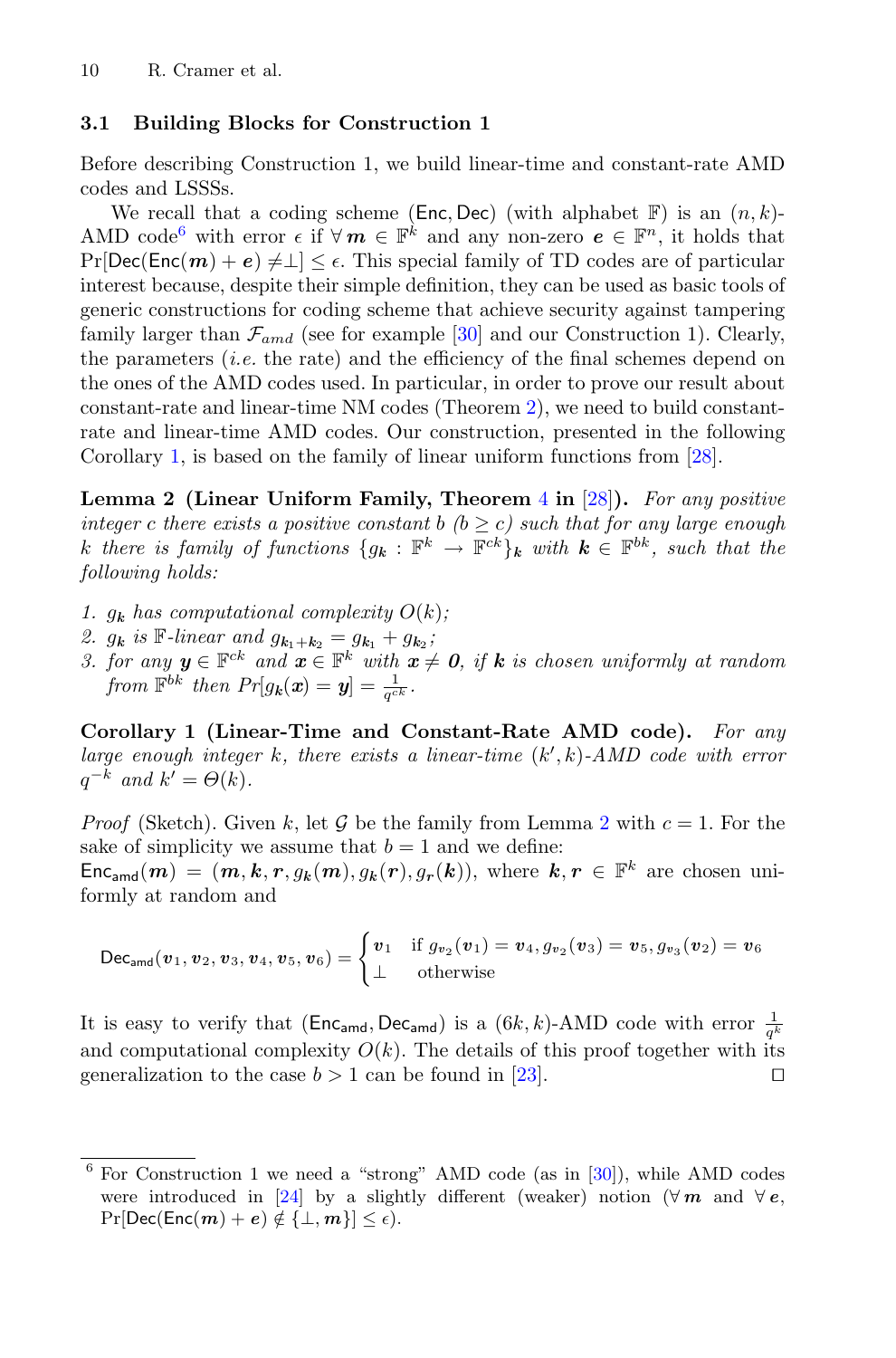#### **3.1 Building Blocks for Construction 1**

Before describing Construction 1, we build linear-time and constant-rate AMD codes and LSSSs.

We recall that a coding scheme (Enc, Dec) (with alphabet  $\mathbb{F}$ ) is an  $(n, k)$ -AMD code<sup>[6](#page-9-0)</sup> with error  $\epsilon$  if  $\forall m \in \mathbb{F}^k$  and any non-zero  $\epsilon \in \mathbb{F}^n$ , it holds that  $Pr[Dec(Enc(m) + e) \neq \perp] < \epsilon$ . This special family of TD codes are of particular interest because, despite their simple definition, they can be used as basic tools of generic constructions for coding scheme that achieve security against tampering family larger than  $\mathcal{F}_{amd}$  (see for example [\[30](#page-23-0)] and our Construction 1). Clearly, the parameters  $(i.e.$  the rate) and the efficiency of the final schemes depend on the ones of the AMD codes used. In particular, in order to prove our result about constant-rate and linear-time NM codes (Theorem [2\)](#page-13-0), we need to build constantrate and linear-time AMD codes. Our construction, presented in the following Corollary [1,](#page-9-1) is based on the family of linear uniform functions from [\[28](#page-23-4)].

<span id="page-9-2"></span>**Lemma 2 (Linear Uniform Family, Theorem** [4](#page-20-0) **in** [\[28](#page-23-4)]**).** *For any positive integer* c there exists a positive constant b  $(b \ge c)$  such that for any large enough k there is family of functions  ${g_k : \mathbb{F}^k \to \mathbb{F}^{ck}}_k$  with  $k \in \mathbb{F}^{bk}$ , such that the *following holds:*

- *1.*  $g_k$  has computational complexity  $O(k)$ ;
- 2.  $g_k$  *is*  $\mathbb{F}$ *-linear and*  $g_{k_1+k_2} = g_{k_1} + g_{k_2}$ ;
- *3. for any*  $y \in \mathbb{F}^{ck}$  *and*  $x \in \mathbb{F}^{k}$  *with*  $x \neq 0$ *, if*  $k$  *is chosen uniformly at random from*  $\mathbb{F}^{bk}$  *then*  $Pr[g_k(\boldsymbol{x}) = \boldsymbol{y}] = \frac{1}{q^{ck}}$ .

<span id="page-9-1"></span>**Corollary 1 (Linear-Time and Constant-Rate AMD code).** *For any large enough integer* k*, there exists a linear-time* (k , k)*-AMD code with error*  $q^{-k}$  *and*  $k' = \Theta(k)$ .

*Proof* (Sketch). Given k, let G be the family from Lemma [2](#page-9-2) with  $c = 1$ . For the sake of simplicity we assume that  $b = 1$  and we define:

 $Enc_{\text{and}}(m) = (m, k, r, g_k(m), g_k(r), g_r(k))$ , where  $k, r \in \mathbb{F}^k$  are chosen uniformly at random and

$$
\mathsf{Dec}_{\mathsf{amd}}(\mathbf{v}_1, \mathbf{v}_2, \mathbf{v}_3, \mathbf{v}_4, \mathbf{v}_5, \mathbf{v}_6) = \begin{cases} \mathbf{v}_1 & \text{if } g_{v_2}(\mathbf{v}_1) = \mathbf{v}_4, g_{v_2}(\mathbf{v}_3) = \mathbf{v}_5, g_{v_3}(\mathbf{v}_2) = \mathbf{v}_6 \\ \perp & \text{otherwise} \end{cases}
$$

It is easy to verify that  $(\text{Enc}_{\text{amd}}, \text{Dec}_{\text{amd}})$  is a  $(6k, k)$ -AMD code with error  $\frac{1}{q^k}$ and computational complexity  $O(k)$ . The details of this proof together with its generalization to the case  $b > 1$  can be found in [\[23](#page-23-12)].

<span id="page-9-0"></span><sup>6</sup> For Construction 1 we need a "strong" AMD code (as in [\[30](#page-23-0)]), while AMD codes were introduced in [\[24\]](#page-23-1) by a slightly different (weaker) notion ( $\forall m$  and  $\forall e$ ,  $Pr[Dec(Enc(m) + e) \notin \{\perp, m\}] \leq \epsilon).$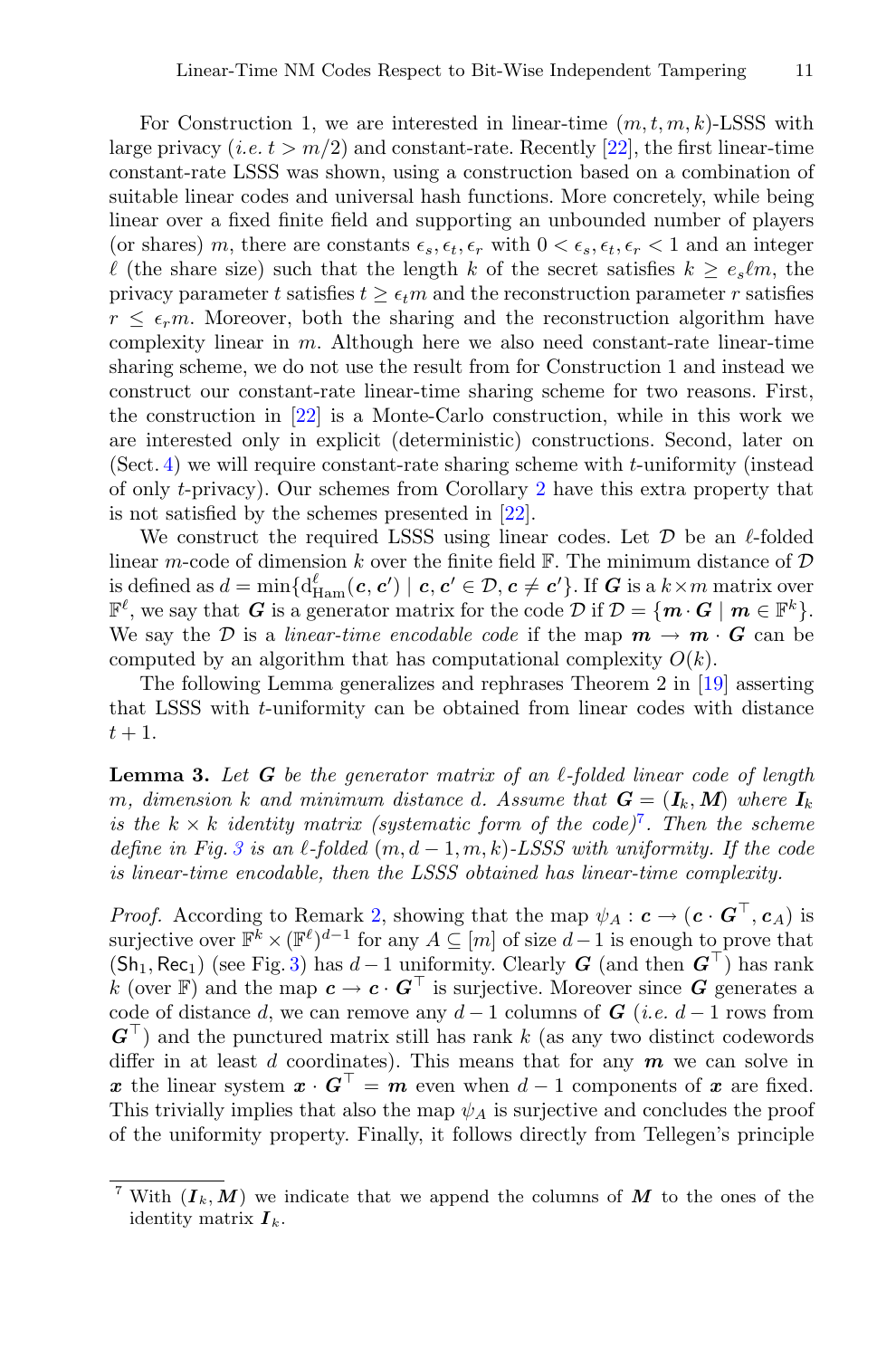For Construction 1, we are interested in linear-time  $(m, t, m, k)$ -LSSS with large privacy  $(i.e. t > m/2)$  and constant-rate. Recently [\[22\]](#page-23-5), the first linear-time constant-rate LSSS was shown, using a construction based on a combination of suitable linear codes and universal hash functions. More concretely, while being linear over a fixed finite field and supporting an unbounded number of players (or shares) m, there are constants  $\epsilon_s, \epsilon_t, \epsilon_r$  with  $0 < \epsilon_s, \epsilon_t, \epsilon_r < 1$  and an integer  $\ell$  (the share size) such that the length k of the secret satisfies  $k > e_s \ell m$ , the privacy parameter t satisfies  $t \geq \epsilon_t m$  and the reconstruction parameter r satisfies  $r \leq \epsilon_r m$ . Moreover, both the sharing and the reconstruction algorithm have complexity linear in  $m$ . Although here we also need constant-rate linear-time sharing scheme, we do not use the result from for Construction 1 and instead we construct our constant-rate linear-time sharing scheme for two reasons. First, the construction in [\[22](#page-23-5)] is a Monte-Carlo construction, while in this work we are interested only in explicit (deterministic) constructions. Second, later on (Sect. [4\)](#page-14-1) we will require constant-rate sharing scheme with t-uniformity (instead of only t-privacy). Our schemes from Corollary [2](#page-11-0) have this extra property that is not satisfied by the schemes presented in [\[22\]](#page-23-5).

We construct the required LSSS using linear codes. Let  $\mathcal D$  be an  $\ell$ -folded linear m-code of dimension k over the finite field  $\mathbb{F}$ . The minimum distance of  $\mathcal{D}$ is defined as  $d = \min \{ d_{\text{Ham}}^{\ell}(c, c') \mid c, c' \in \mathcal{D}, c \neq c' \}.$  If *G* is a  $k \times m$  matrix over  $\mathbb{F}^{\ell}$ , we say that *G* is a generator matrix for the code  $\mathcal{D}$  if  $\mathcal{D} = \{m \cdot G \mid m \in \mathbb{F}^k\}.$ We say the D is a *linear-time encodable code* if the map  $m \to m \cdot G$  can be computed by an algorithm that has computational complexity  $O(k)$ .

The following Lemma generalizes and rephrases Theorem 2 in [\[19\]](#page-22-14) asserting that LSSS with t-uniformity can be obtained from linear codes with distance  $t+1$ .

<span id="page-10-1"></span>**Lemma 3.** *Let G be the generator matrix of an -folded linear code of length* m, dimension k and minimum distance d. Assume that  $G = (I_k, M)$  where  $I_k$ *is the*  $k \times k$  *identity matrix (systematic form of the code)*<sup>[7](#page-10-0)</sup>. Then the scheme *define in Fig.*  $3$  *is an*  $\ell$ -folded  $(m, d-1, m, k)$ *-LSSS with uniformity. If the code is linear-time encodable, then the LSSS obtained has linear-time complexity.*

*Proof.* According to Remark [2,](#page-8-1) showing that the map  $\psi_A : \mathbf{c} \to (\mathbf{c} \cdot \mathbf{G}^\top, \mathbf{c}_A)$  is surjective over  $\mathbb{F}^k \times (\mathbb{F}^{\ell})^{d-1}$  for any  $A \subseteq [m]$  of size  $d-1$  is enough to prove that  $(Sh_1, Rec_1)$  (see Fig. [3\)](#page-11-1) has  $d-1$  uniformity. Clearly *G* (and then  $G^{\top}$ ) has rank k (over F) and the map  $c \to c \cdot G^{\top}$  is surjective. Moreover since G generates a code of distance d, we can remove any  $d-1$  columns of  $G$  (*i.e.*  $d-1$  rows from  $G^{\dagger}$ ) and the punctured matrix still has rank k (as any two distinct codewords differ in at least d coordinates). This means that for any *m* we can solve in *x* the linear system  $x \cdot G^{\top} = m$  even when  $d - 1$  components of *x* are fixed. This trivially implies that also the map  $\psi_A$  is surjective and concludes the proof of the uniformity property. Finally, it follows directly from Tellegen's principle

<span id="page-10-0"></span><sup>&</sup>lt;sup>7</sup> With  $(I_k, M)$  we indicate that we append the columns of  $M$  to the ones of the identity matrix  $I_k$ .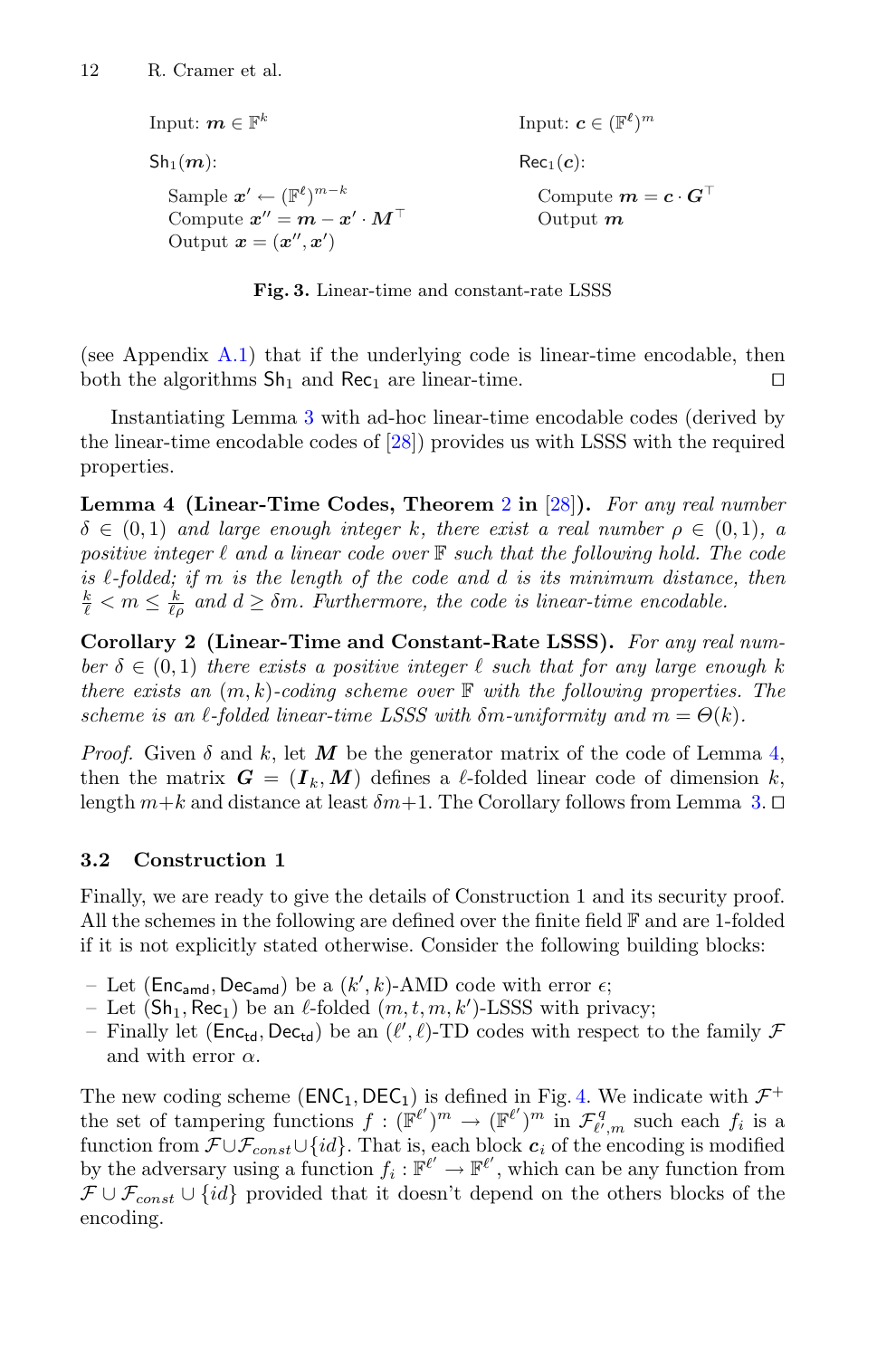Input:  $m \in \mathbb{F}^k$  $\mathsf{Sh}_1(\mathbf{m})$ : Sample  $\boldsymbol{x}' \leftarrow (\mathbb{F}^{\ell})^{m-k}$ Compute  $x'' = m - x' \cdot M^\top$ Output  $\mathbf{x} = (\mathbf{x}'', \mathbf{x}')$ Input:  $\boldsymbol{c} \in (\mathbb{F}^{\ell})^m$  $Rec<sub>1</sub>(c):$ Compute  $m = c \cdot G^{\top}$ Output *m*

<span id="page-11-1"></span>**Fig. 3.** Linear-time and constant-rate LSSS

(see Appendix [A.1\)](#page-20-1) that if the underlying code is linear-time encodable, then both the algorithms  $\text{Sh}_1$  and  $\text{Rec}_1$  are linear-time.

Instantiating Lemma [3](#page-10-1) with ad-hoc linear-time encodable codes (derived by the linear-time encodable codes of [\[28\]](#page-23-4)) provides us with LSSS with the required properties.

<span id="page-11-2"></span>**Lemma 4 (Linear-Time Codes, Theorem** [2](#page-13-0) **in** [\[28\]](#page-23-4)**).** *For any real number*  $\delta \in (0,1)$  *and large enough integer* k, there exist a real number  $\rho \in (0,1)$ , a *positive integer*  $\ell$  and a linear code over  $\mathbb F$  such that the following hold. The code *is -folded; if* m *is the length of the code and* d *is its minimum distance, then*  $\frac{k}{\ell} < m \leq \frac{k}{\ell \rho}$  and  $d \geq \delta m$ . Furthermore, the code is linear-time encodable.

<span id="page-11-0"></span>**Corollary 2 (Linear-Time and Constant-Rate LSSS).** *For any real number*  $\delta \in (0,1)$  *there exists a positive integer*  $\ell$  *such that for any large enough* k *there exists an* (m, k)*-coding scheme over* F *with the following properties. The scheme is an*  $\ell$ -folded linear-time LSSS with  $\delta m$ -uniformity and  $m = \Theta(k)$ .

*Proof.* Given  $\delta$  and  $k$ , let M be the generator matrix of the code of Lemma [4,](#page-11-2) then the matrix  $G = (I_k, M)$  defines a  $\ell$ -folded linear code of dimension k, length  $m+k$  and distance at least  $\delta m+1$ . The Corollary follows from Lemma [3.](#page-10-1)  $\Box$ 

### **3.2 Construction 1**

Finally, we are ready to give the details of Construction 1 and its security proof. All the schemes in the following are defined over the finite field  $\mathbb F$  and are 1-folded if it is not explicitly stated otherwise. Consider the following building blocks:

- Let ( $\text{Enc}_{\text{amd}}$ ,  $\text{Dec}_{\text{amd}}$ ) be a  $(k', k)$ -AMD code with error  $\epsilon$ ;<br>- Let (Sh. Rec.) be an *l*-folded (*m t m k'*)-LSSS with pri
- Let  $(\textsf{Sh}_1, \textsf{Rec}_1)$  be an  $\ell$ -folded  $(m, t, m, k')$ -LSSS with privacy;<br>- Finally let  $(\textsf{Enc}_1, \textsf{Dec}_1)$  be an  $(\ell', \ell)$ -TD codes with respect t
- Finally let  $(Enc_{td}, Dec_{td})$  be an  $(\ell', \ell)$ -TD codes with respect to the family  $\mathcal F$ <br>and with error  $\alpha$ and with error  $\alpha$ .

The new coding scheme ( $ENC_1, DEC_1$ ) is defined in Fig. [4.](#page-12-0) We indicate with  $\mathcal{F}^+$ the set of tampering functions  $f : (\mathbb{F}^{\ell'})^m \to (\mathbb{F}^{\ell'})^m$  in  $\mathcal{F}_{\ell',m}^q$  such each  $f_i$  is a function from  $\mathcal{F} \cup \mathcal{F}_{const} \cup \{id\}$ . That is, each block  $c_i$  of the encoding is modified by the adversary using a function  $f_i : \mathbb{F}^{\ell'} \to \mathbb{F}^{\ell'}$ , which can be any function from  $\mathcal{F} \cup \mathcal{F}_{const} \cup \{id\}$  provided that it doesn't depend on the others blocks of the encoding.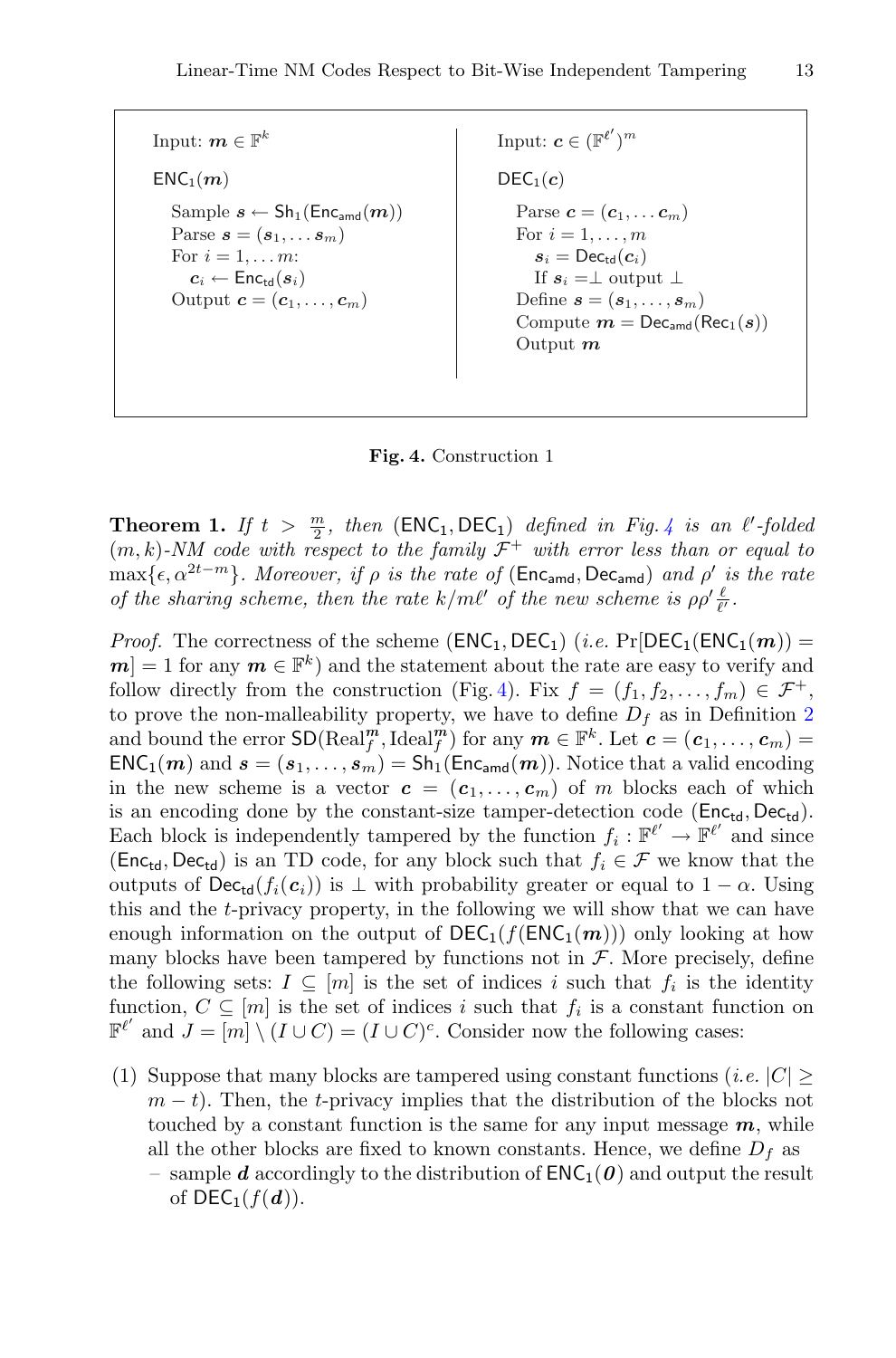Input:  $m \in \mathbb{F}^k$  $ENC<sub>1</sub>(m)$ Sample  $s \leftarrow Sh_1(Enc_{\text{amd}}(m))$ Parse  $\mathbf{s} = (\mathbf{s}_1, \dots \mathbf{s}_m)$ For  $i = 1, \ldots m$ :  $c_i \leftarrow \mathsf{Enc}_{\mathsf{td}}(s_i)$ Output  $\mathbf{c} = (\mathbf{c}_1, \dots, \mathbf{c}_m)$ 

Input:  $\boldsymbol{c} \in (\mathbb{F}^{\ell'})^m$  $DEC<sub>1</sub>(c)$ Parse  $\mathbf{c} = (\mathbf{c}_1, \dots \mathbf{c}_m)$ For  $i = 1, ..., m$  $s_i = \text{Dec}_{\text{td}}(c_i)$ If  $s_i = \perp$  output  $\perp$ Define  $\mathbf{s} = (\mathbf{s}_1, \dots, \mathbf{s}_m)$ Compute  $m = \text{Dec}_{\text{amd}}(\text{Rec}_{1}(s))$ Output *m*

<span id="page-12-0"></span>**Fig. 4.** Construction 1

**Theorem 1.** If  $t > \frac{m}{2}$ , then (ENC<sub>1</sub>, DEC<sub>1</sub>) defined in Fig. 4 is an  $\ell'$ -folded **Theorem 1.** If  $t > \frac{m}{2}$ , then  $(\text{ENC}_1, \text{DEC}_1)$  defined in Fig. [4](#page-12-0) is an  $\ell'$ -folded  $(m, k)$ -NM code with respect to the family  $\mathcal{F}^+$  with error less than or equal to  $\max{\epsilon, \alpha^{2t-m}}$ *. Moreover, if*  $\rho$  *is the rate of* (Enc<sub>amd</sub>, Dec<sub>amd</sub>) *and*  $\rho'$  *is the rate of the sharing scheme, then the rate*  $k/m\ell'$  *of the new scheme is*  $\rho \rho' \frac{\ell}{\ell'}$ .

*Proof.* The correctness of the scheme  $(ENC_1, DEC_1)$  (*i.e.*  $Pr[DEC_1(ENC_1(m))$  =  $m = 1$  for any  $m \in \mathbb{F}^k$ ) and the statement about the rate are easy to verify and follow directly from the construction (Fig. [4\)](#page-12-0). Fix  $f = (f_1, f_2, \ldots, f_m) \in \mathcal{F}^+,$ to prove the non-malleability property, we have to define  $D_f$  as in Definition [2](#page-7-0) and bound the error  $SD(Real_f^m,Ideal_f^m)$  for any  $m \in \mathbb{F}^k$ . Let  $c = (c_1, ..., c_m) =$ <br>FNC. (*m*) and  $s = (s_1, ..., s_m) = Sh(fnc_{m-1}(m))$ . Notice that a valid encoding  $ENC_1(m)$  and  $s = (s_1, \ldots, s_m) = Sh_1(Enc_{and}(m))$ . Notice that a valid encoding in the new scheme is a vector  $\mathbf{c} = (\mathbf{c}_1, \dots, \mathbf{c}_m)$  of m blocks each of which is an encoding done by the constant-size tamper-detection code ( $Enc_{td}$ ,  $Dec_{td}$ ). is an encoding done by the constant-size tamper-detection code ( $\mathsf{Enc}_{\mathsf{td}}$ ,  $\mathsf{Dec}_{\mathsf{td}}$ ).<br>Each block is independently tampered by the function  $f_i : \mathbb{F}^{\ell'} \to \mathbb{F}^{\ell'}$  and since (Enc<sub>td</sub>, Dec<sub>td</sub>) is an TD code, for any block such that  $f_i \in \mathcal{F}$  we know that the outputs of  $\mathsf{Dec}_{td}(f_i(\mathbf{c}_i))$  is  $\perp$  with probability greater or equal to  $1 - \alpha$ . Using this and the t-privacy property, in the following we will show that we can have enough information on the output of  $DEC_1(f(ENC_1(m)))$  only looking at how many blocks have been tampered by functions not in  $F$ . More precisely, define the following sets:  $I \subseteq [m]$  is the set of indices i such that  $f_i$  is the identity function,  $C \subseteq [m]$  is the set of indices i such that  $f_i$  is a constant function on  $\mathbb{F}^{\ell'}$  and  $J = [m] \setminus (I \cup C) = (I \cup C)^c$ . Consider now the following cases:

(1) Suppose that many blocks are tampered using constant functions (*i.e.*  $|C| \ge$  $m - t$ ). Then, the t-privacy implies that the distribution of the blocks not touched by a constant function is the same for any input message  $m$ , while all the other blocks are fixed to known constants. Hence, we define  $D_f$  as – sample **d** accordingly to the distribution of  $ENC_1(\theta)$  and output the result of  $DEC_1(f(d))$ .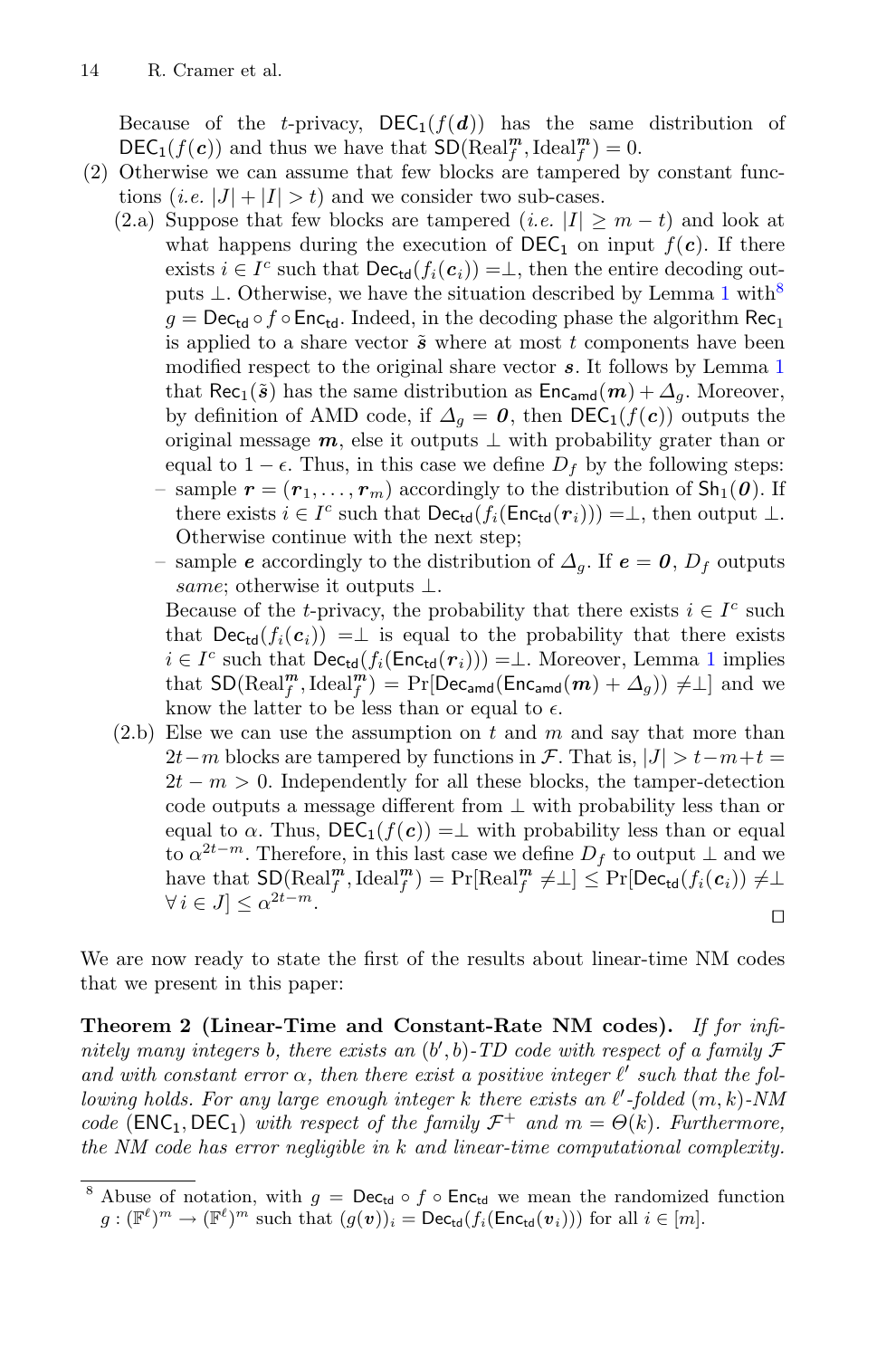Because of the *t*-privacy,  $DEC_1(f(d))$  has the same distribution of  $\text{DEC}_1(f(\mathbf{c}))$  and thus we have that  $\text{SD}(\text{Real}_f^{\mathbf{m}}, \text{Ideal}_f^{\mathbf{m}}) = 0$ .<br>Otherwise we can assume that few blocks are tampered by

- (2) Otherwise we can assume that few blocks are tampered by constant functions (*i.e.*  $|J| + |I| > t$ ) and we consider two sub-cases.
	- (2.a) Suppose that few blocks are tampered (*i.e.*  $|I| \geq m t$ ) and look at what happens during the execution of  $\text{DEC}_1$  on input  $f(c)$ . If there exists  $i \in I^c$  such that  $\textsf{Dec}_{\textsf{td}}(f_i(\boldsymbol{c}_i)) = \perp$ , then the entire decoding outputs  $\perp$ . Otherwise, we have the situation described by Lemma [1](#page-8-2) with<sup>[8](#page-13-1)</sup>  $q = \text{Dec}_{td} \circ f \circ \text{Enc}_{td}$ . Indeed, in the decoding phase the algorithm Rec<sub>1</sub> is applied to a share vector  $\tilde{s}$  where at most t components have been modified respect to the original share vector *s*. It follows by Lemma [1](#page-8-2) that Rec<sub>1</sub>( $\tilde{s}$ ) has the same distribution as  $Enc_{and}(m) + \Delta_a$ . Moreover, by definition of AMD code, if  $\Delta_q = 0$ , then DEC<sub>1</sub>(f(c)) outputs the original message  $m$ , else it outputs  $\perp$  with probability grater than or equal to  $1 - \epsilon$ . Thus, in this case we define  $D_f$  by the following steps: – sample  $\mathbf{r} = (\mathbf{r}_1, \dots, \mathbf{r}_m)$  accordingly to the distribution of  $\mathsf{Sh}_1(\mathbf{0})$ . If
		- there exists  $i \in I^c$  such that  $\mathsf{Dec}_{td}(f_i(\mathsf{Enc}_{td}(r_i))) = \perp$ , then output  $\perp$ . Otherwise continue with the next step;
		- sample *e* accordingly to the distribution of  $\Delta_q$ . If  $e = 0$ ,  $D_f$  outputs same; otherwise it outputs  $\bot$ .

Because of the t-privacy, the probability that there exists  $i \in I<sup>c</sup>$  such that  $\text{Dec}_{td}(f_i(c_i)) = \perp$  is equal to the probability that there exists  $i \in I<sup>c</sup>$  such that  $Dec_{td}(f_i(Enc_{td}(r_i))) = \perp$ . Moreover, Lemma [1](#page-8-2) implies that  $SD(Real_f^m, Ideal_f^m) = Pr[Dec_{and}(Enc_{and}(m) + \Delta_g)) \neq \bot]$  and we<br>know the latter to be less than or equal to  $\epsilon$ know the latter to be less than or equal to  $\epsilon$ .

 $(2.b)$  Else we can use the assumption on t and m and say that more than  $2t-m$  blocks are tampered by functions in F. That is,  $|J| > t-m+t=$  $2t - m > 0$ . Independently for all these blocks, the tamper-detection code outputs a message different from  $\perp$  with probability less than or equal to  $\alpha$ . Thus, DEC<sub>1</sub>(f(c)) =  $\perp$  with probability less than or equal to  $\alpha^{2t-m}$ . Therefore, in this last case we define  $D_f$  to output  $\perp$  and we have that  $\text{SD}(\text{Real}_f^m, \text{Ideal}_f^m) = \Pr[\text{Real}_f^m \neq \perp] \leq \Pr[\text{Dec}_{\text{td}}(f_i(\boldsymbol{c}_i)) \neq \perp]$  $\forall i \in J$   $\leq \alpha^{2t-m}$ .

<span id="page-13-0"></span>We are now ready to state the first of the results about linear-time NM codes that we present in this paper:

**Theorem 2 (Linear-Time and Constant-Rate NM codes).** *If for infinitely many integers* b*, there exists an* (b , b)*-TD code with respect of a family* F *and with constant error*  $\alpha$ *, then there exist a positive integer*  $\ell'$  *such that the following holds. For any large enough integer*  $k$  there exists an  $\ell'$ -folded  $(m, k)$ -NM *code* ( $ENC_1, DEC_1$ ) *with respect of the family*  $\mathcal{F}^+$  *and*  $m = \Theta(k)$ *. Furthermore, the NM code has error negligible in* k *and linear-time computational complexity.*

<span id="page-13-1"></span><sup>&</sup>lt;sup>8</sup> Abuse of notation, with  $g = \mathsf{Dec}_{\mathsf{td}} \circ f \circ \mathsf{Enc}_{\mathsf{td}}$  we mean the randomized function  $g: (\mathbb{F}^{\ell})^m \to (\mathbb{F}^{\ell})^m$  such that  $(g(v))_i = \mathsf{Dec}_{\mathsf{td}}(f_i(\mathsf{Enc}_{\mathsf{td}}(v_i)))$  for all  $i \in [m]$ .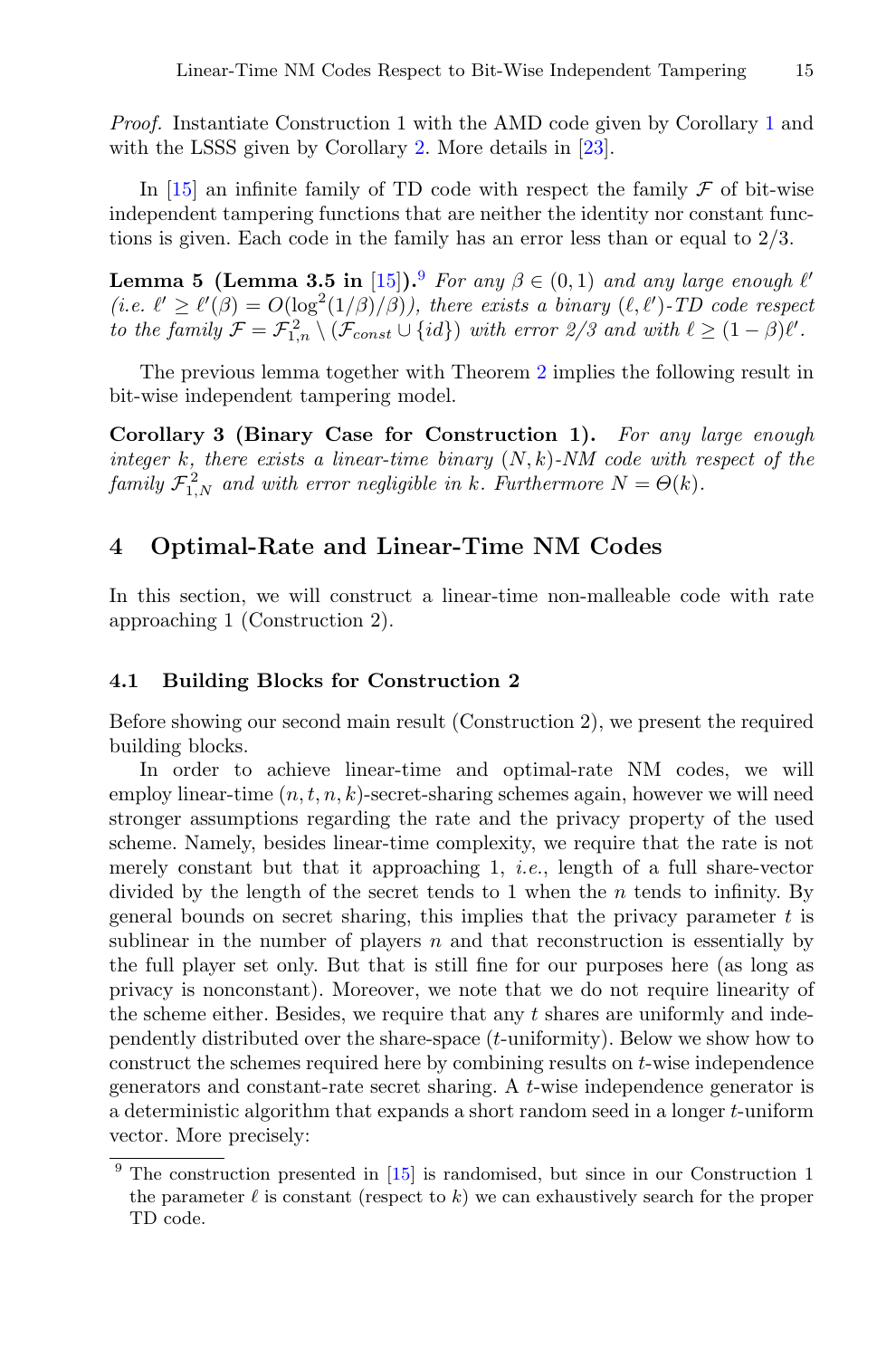*Proof.* Instantiate Construction 1 with the AMD code given by Corollary [1](#page-9-1) and with the LSSS given by Corollary [2.](#page-11-0) More details in [\[23](#page-23-12)].

In [\[15](#page-22-4)] an infinite family of TD code with respect the family  $\mathcal F$  of bit-wise independent tampering functions that are neither the identity nor constant functions is given. Each code in the family has an error less than or equal to 2/3.

**Lemma 5 (Lemma 3.5 in** [\[15](#page-22-4)]).<sup>[9](#page-14-2)</sup> *For any*  $\beta \in (0,1)$  *and any large enough*  $\ell'$  $(i.e. \ell' \geq \ell'(\beta) = O(\log^2(1/\beta)/\beta))$ , there exists a binary  $(\ell, \ell')$ -*TD* code respect *to the family*  $\mathcal{F} = \mathcal{F}_{1,n}^2 \setminus (\mathcal{F}_{const} \cup \{id\})$  *with error*  $2/3$  *and with*  $\ell \geq (1 - \beta)\ell'$ *.* 

<span id="page-14-0"></span>The previous lemma together with Theorem [2](#page-13-0) implies the following result in bit-wise independent tampering model.

**Corollary 3 (Binary Case for Construction 1).** *For any large enough integer* k*, there exists a linear-time binary* (N, k)*-NM code with respect of the*  $familiar \mathcal{F}_{1,N}^2$  *and with error negligible in* k*. Furthermore*  $N = \Theta(k)$ *.* 

### <span id="page-14-1"></span>**4 Optimal-Rate and Linear-Time NM Codes**

In this section, we will construct a linear-time non-malleable code with rate approaching 1 (Construction 2).

#### **4.1 Building Blocks for Construction 2**

Before showing our second main result (Construction 2), we present the required building blocks.

In order to achieve linear-time and optimal-rate NM codes, we will employ linear-time  $(n, t, n, k)$ -secret-sharing schemes again, however we will need stronger assumptions regarding the rate and the privacy property of the used scheme. Namely, besides linear-time complexity, we require that the rate is not merely constant but that it approaching 1, *i.e.*, length of a full share-vector divided by the length of the secret tends to 1 when the  $n$  tends to infinity. By general bounds on secret sharing, this implies that the privacy parameter  $t$  is sublinear in the number of players  $n$  and that reconstruction is essentially by the full player set only. But that is still fine for our purposes here (as long as privacy is nonconstant). Moreover, we note that we do not require linearity of the scheme either. Besides, we require that any t shares are uniformly and independently distributed over the share-space (t-uniformity). Below we show how to construct the schemes required here by combining results on t-wise independence generators and constant-rate secret sharing. A t-wise independence generator is a deterministic algorithm that expands a short random seed in a longer t-uniform vector. More precisely:

<span id="page-14-2"></span> $9$  The construction presented in [\[15](#page-22-4)] is randomised, but since in our Construction 1 the parameter  $\ell$  is constant (respect to k) we can exhaustively search for the proper TD code.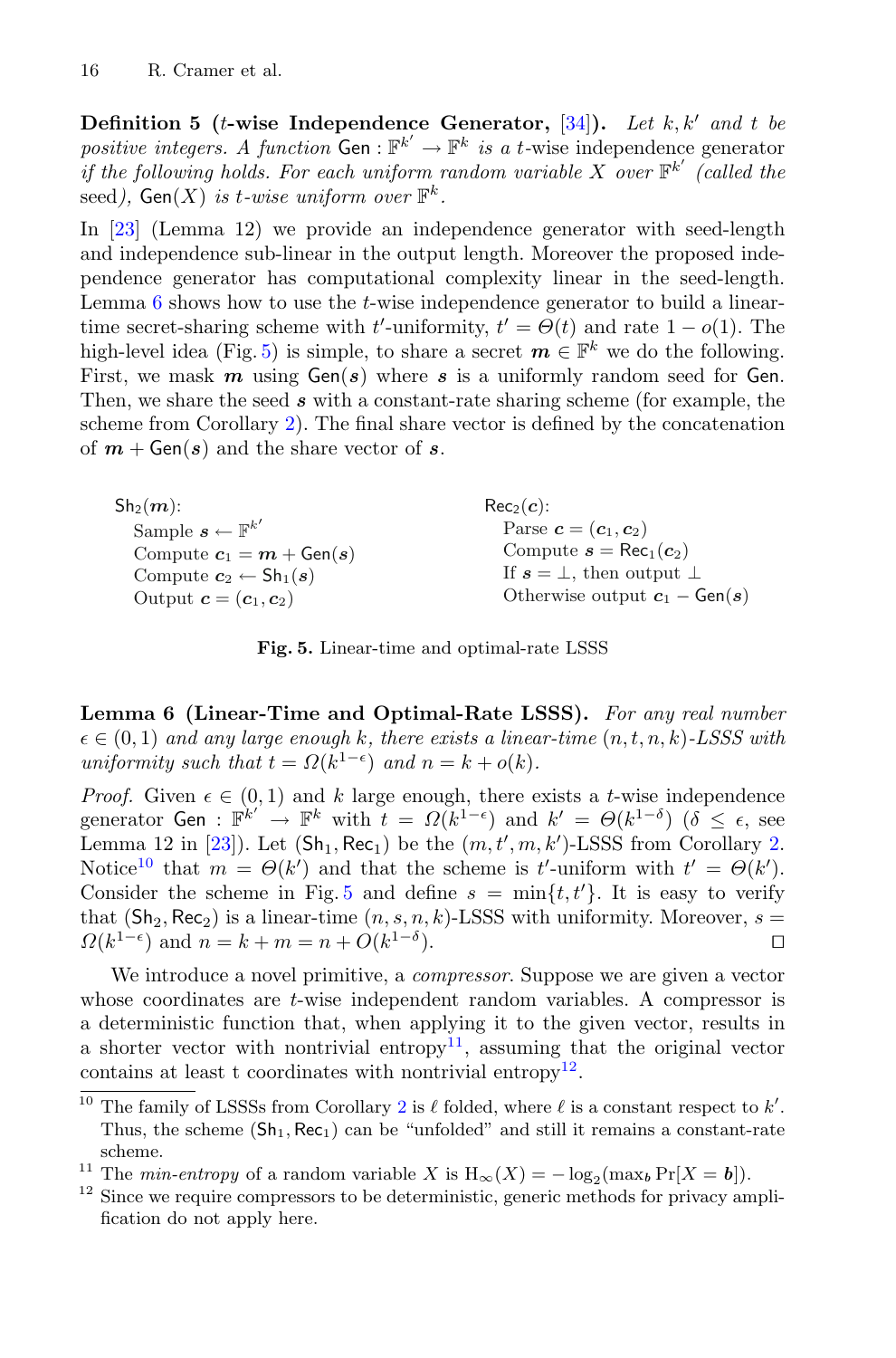**Definition 5** (*t*-wise Independence Generator,  $[34]$  $[34]$ ). Let k, k' and t be positive integers. A function Gen :  $\mathbb{F}^{k'} \to \mathbb{F}^k$  is a t-wise independence generator<br>if the following holds. For each uniform random variable X over  $\mathbb{F}^{k'}$  (called the *if the following holds. For each uniform random variable*  $X$  *over*  $\mathbb{F}^{k'}$  (called the seed),  $Gen(X)$  *is t-wise uniform over*  $\mathbb{F}^k$ .

In [\[23](#page-23-12)] (Lemma 12) we provide an independence generator with seed-length and independence sub-linear in the output length. Moreover the proposed independence generator has computational complexity linear in the seed-length. Lemma  $6$  shows how to use the  $t$ -wise independence generator to build a lineartime secret-sharing scheme with t'-uniformity,  $t' = \Theta(t)$  and rate  $1 - o(1)$ . The high-level idea (Fig. [5\)](#page-15-1) is simple, to share a secret  $m \in \mathbb{F}^k$  we do the following. First, we mask  $m$  using  $Gen(s)$  where  $s$  is a uniformly random seed for Gen. Then, we share the seed *s* with a constant-rate sharing scheme (for example, the scheme from Corollary [2\)](#page-11-0). The final share vector is defined by the concatenation of  $m + \text{Gen}(s)$  and the share vector of  $s$ .

| $\mathsf{Sh}_2(\bm{m})$ :                          | $Rec_2(c)$ :                                      |
|----------------------------------------------------|---------------------------------------------------|
| Sample $\mathbf{s} \leftarrow \mathbb{F}^{k'}$     | Parse $\mathbf{c} = (\mathbf{c}_1, \mathbf{c}_2)$ |
| Compute $c_1 = m + \text{Gen}(s)$                  | Compute $s = \text{Rec}_1(c_2)$                   |
| Compute $c_2 \leftarrow Sh_1(s)$                   | If $s = \perp$ , then output $\perp$              |
| Output $\mathbf{c} = (\mathbf{c}_1, \mathbf{c}_2)$ | Otherwise output $c_1 - Gen(s)$                   |
|                                                    |                                                   |

<span id="page-15-1"></span>**Fig. 5.** Linear-time and optimal-rate LSSS

<span id="page-15-0"></span>**Lemma 6 (Linear-Time and Optimal-Rate LSSS).** *For any real number*  $\epsilon \in (0, 1)$  and any large enough k, there exists a linear-time  $(n, t, n, k)$ -LSSS with *uniformity such that*  $t = \Omega(k^{1-\epsilon})$  *and*  $n = k + o(k)$ *.* 

*Proof.* Given  $\epsilon \in (0, 1)$  and k large enough, there exists a t-wise independence generator Gen :  $\mathbb{F}^{k'} \to \mathbb{F}^k$  with  $t = \Omega(k^{1-\epsilon})$  and  $k' = \Theta(k^{1-\delta})$  ( $\delta \leq \epsilon$ , see<br>Lemma 12 in [23]) Let (Sh. Bec.) be the  $(m, t', m, k')$ -LSSS from Corollary 2 Lemma 12 in [\[23](#page-23-12)]). Let  $(Sh_1, Rec_1)$  be the  $(m, t', m, k')$ -LSSS from Corollary [2.](#page-11-0)<br>Notice<sup>10</sup> that  $m = \Theta(k')$  and that the scheme is  $t'$ -uniform with  $t' = \Theta(k')$ Notice<sup>[10](#page-15-2)</sup> that  $m = \Theta(k')$  and that the scheme is t'-uniform with  $t' = \Theta(k')$ . Consider the scheme in Fig. [5](#page-15-1) and define  $s = \min\{t, t'\}$ . It is easy to verify that  $(\text{Sh}_2, \text{Rec}_2)$  is a linear-time  $(n, s, n, k)$ -LSSS with uniformity. Moreover,  $s = Q(k^{1-\epsilon})$  and  $n = k + m = n + O(k^{1-\delta})$ .  $\Omega(k^{1-\epsilon})$  and  $n = k + m = n + O(k^{1-\delta}).$ 

We introduce a novel primitive, a *compressor*. Suppose we are given a vector whose coordinates are *t*-wise independent random variables. A compressor is a deterministic function that, when applying it to the given vector, results in a shorter vector with nontrivial entropy<sup>[11](#page-15-3)</sup>, assuming that the original vector contains at least t coordinates with nontrivial entropy<sup>[12](#page-15-4)</sup>.

<span id="page-15-2"></span><sup>&</sup>lt;sup>10</sup> The family of LSSSs from Corollary [2](#page-11-0) is  $\ell$  folded, where  $\ell$  is a constant respect to k'.<br>Thus, the scheme (Sh. Bes.) can be "unfolded" and still it remains a constant rate Thus, the scheme  $(Sh_1, Rec_1)$  can be "unfolded" and still it remains a constant-rate scheme.

<span id="page-15-4"></span><span id="page-15-3"></span><sup>&</sup>lt;sup>11</sup> The *min-entropy* of a random variable X is  $H_{\infty}(X) = -\log_2(\max_b Pr[X = b])$ .<br><sup>12</sup> Since we require compressors to be deterministic, generic methods for privacy amplification do not apply here.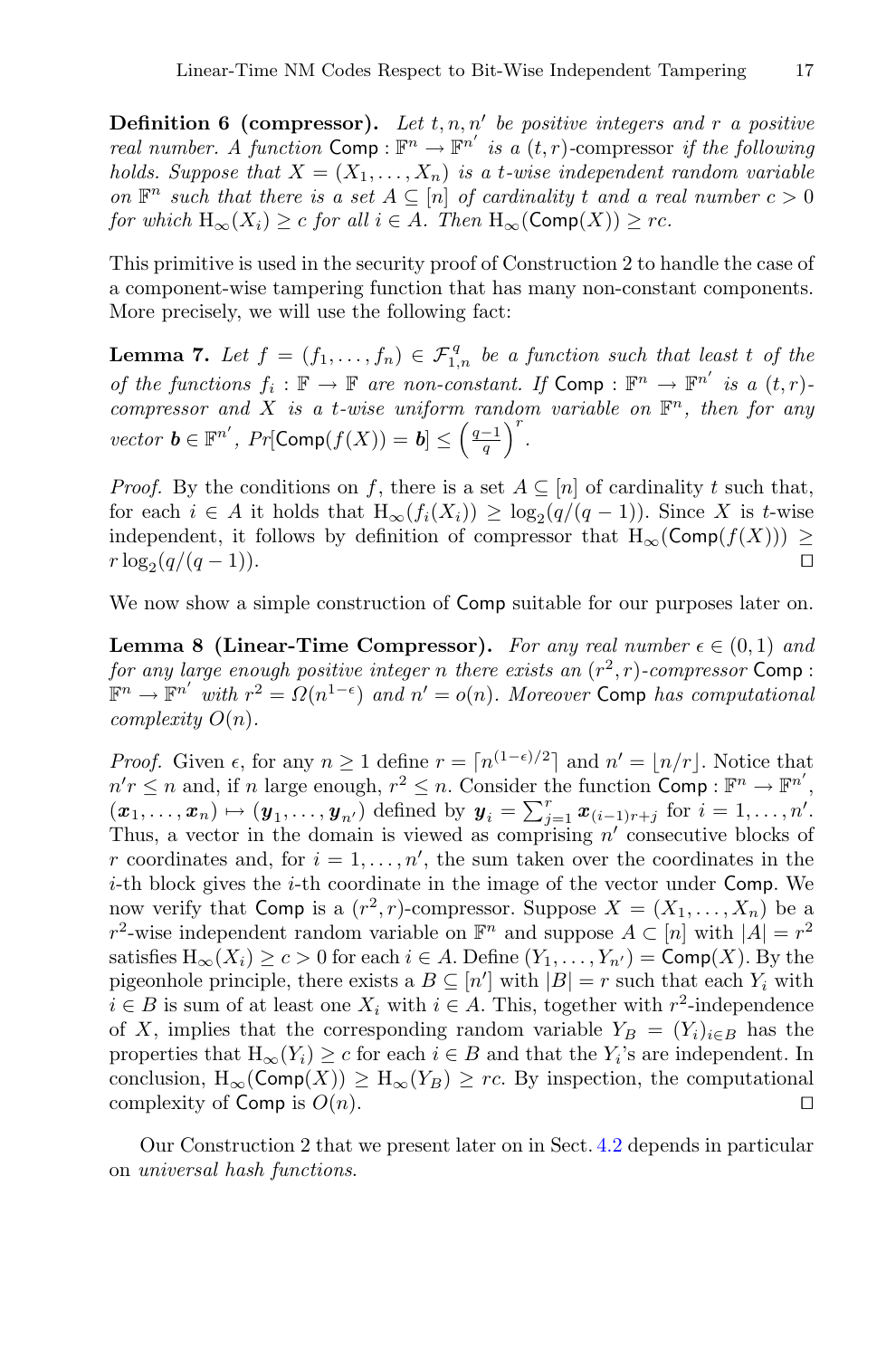**Definition 6 (compressor).** Let  $t, n, n'$  be positive integers and r a positive *real number.* A function  $\text{Comp}: \mathbb{F}^n \to \mathbb{F}^{n'}$  is a  $(t, r)$ -compressor if the following holds. Suppose that  $X = (X, X)$  is a t-wise independent random variable *holds. Suppose that*  $X = (X_1, \ldots, X_n)$  *is a t-wise independent random variable on*  $\mathbb{F}^n$  *such that there is a set*  $A \subseteq [n]$  *of cardinality* t *and a real number*  $c > 0$ *for which*  $H_{\infty}(X_i) \geq c$  *for all*  $i \in A$ *. Then*  $H_{\infty}(\text{Comp}(X)) \geq rc$ *.* 

This primitive is used in the security proof of Construction 2 to handle the case of a component-wise tampering function that has many non-constant components. More precisely, we will use the following fact:

<span id="page-16-0"></span>**Lemma 7.** Let  $f = (f_1, \ldots, f_n) \in \mathcal{F}_{1,n}^q$  be a function such that least t of the *of the functions*  $f_i : \mathbb{F} \to \mathbb{F}$  *are non-constant. If*  $\textsf{Comp} : \mathbb{F}^n \to \mathbb{F}^{n'}$  *is a*  $(t, r)$ *-compressor and*  $X$  *is a t-wise wniform random variable on*  $\mathbb{F}^n$  *then for any*  $compressor$  and  $X$  *is a t-wise uniform random variable on*  $\mathbb{F}^n$ *, then for any vector*  $\mathbf{b} \in \mathbb{F}^{n'}$ ,  $Pr[\text{Comp}(f(X)) = \mathbf{b}] \leq \left(\frac{q-1}{q}\right)^{r}$ .

*Proof.* By the conditions on f, there is a set  $A \subseteq [n]$  of cardinality t such that, for each  $i \in A$  it holds that  $H_{\infty}(f_i(X_i)) \geq \log_2(q/(q-1))$ . Since X is t-wise independent, it follows by definition of compressor that  $H_{\infty}(\text{Comp}(f(X))) \geq r \log_q(q/(q-1))$  $r \log_2(q/(q-1)).$ 

<span id="page-16-1"></span>We now show a simple construction of **Comp** suitable for our purposes later on.

**Lemma 8 (Linear-Time Compressor).** For any real number  $\epsilon \in (0,1)$  and *for any large enough positive integer n there exists an*  $(r^2, r)$ *-compressor* Comp :  $\mathbb{F}^n \to \mathbb{F}^{n'}$  with  $r^2 = \Omega(n^{1-\epsilon})$  and  $n' = o(n)$ *. Moreover* Comp has computational complexity  $O(n)$ *complexity* O(n)*.*

*Proof.* Given  $\epsilon$ , for any  $n \geq 1$  define  $r = \lceil n^{(1-\epsilon)/2} \rceil$  and  $n' = \lceil n/r \rceil$ . Notice that  $n'r \leq n$  and, if n large enough,  $r^2 \leq n$ . Consider the function Comp :  $\mathbb{F}^n \to \mathbb{F}^{n'}$ ,<br>  $(r_1, r_2, \ldots, r_n) \mapsto (n_1, n_2, \ldots, n_n)$  defined by  $n_n = \sum_{r=1}^{n} r_{n-r}$ ,  $r_{n-r}$ ,  $r_{n-r}$  $(\pmb{x}_1, \ldots, \pmb{x}_n) \mapsto (\pmb{y}_1, \ldots, \pmb{y}_{n'})$  defined by  $\pmb{y}_i = \sum_{j=1}^r \pmb{x}_{(i-1)r+j}$  for  $i = 1, \ldots, n'$ . Thus, a vector in the domain is viewed as comprising  $n'$  consecutive blocks of r coordinates and, for  $i = 1, \ldots, n'$ , the sum taken over the coordinates in the  $i$ -th block gives the  $i$ -th coordinate in the image of the vector under Comp. We now verify that Comp is a  $(r^2, r)$ -compressor. Suppose  $X = (X_1, \ldots, X_n)$  be a r<sup>2</sup>-wise independent random variable on  $\mathbb{F}^n$  and suppose  $A \subset [n]$  with  $|A| = r^2$ satisfies  $H_{\infty}(X_i) \ge c > 0$  for each  $i \in A$ . Define  $(Y_1, \ldots, Y_{n'}) = \text{Comp}(X)$ . By the proportional position that  $i \in A$ . Define  $(Y_i)$  with  $|B| = r$  such that each  $Y_i$  with pigeonhole principle, there exists a  $B \subseteq [n']$  with  $|B| = r$  such that each  $Y_i$  with  $i \in B$  is sum of at least one  $X_i$  with  $i \in A$ . This, together with  $r^2$ -independence of X, implies that the corresponding random variable  $Y_B = (Y_i)_{i \in B}$  has the properties that  $H_{\infty}(Y_i) \geq c$  for each  $i \in B$  and that the  $Y_i$ 's are independent. In conclusion,  $H_{\infty}(\text{Comp}(X)) \geq H_{\infty}(Y_B) \geq rc$ . By inspection, the computational complexity of Comp is  $O(n)$ . complexity of Comp is  $O(n)$ .

Our Construction 2 that we present later on in Sect. [4.2](#page-17-0) depends in particular on *universal hash functions*.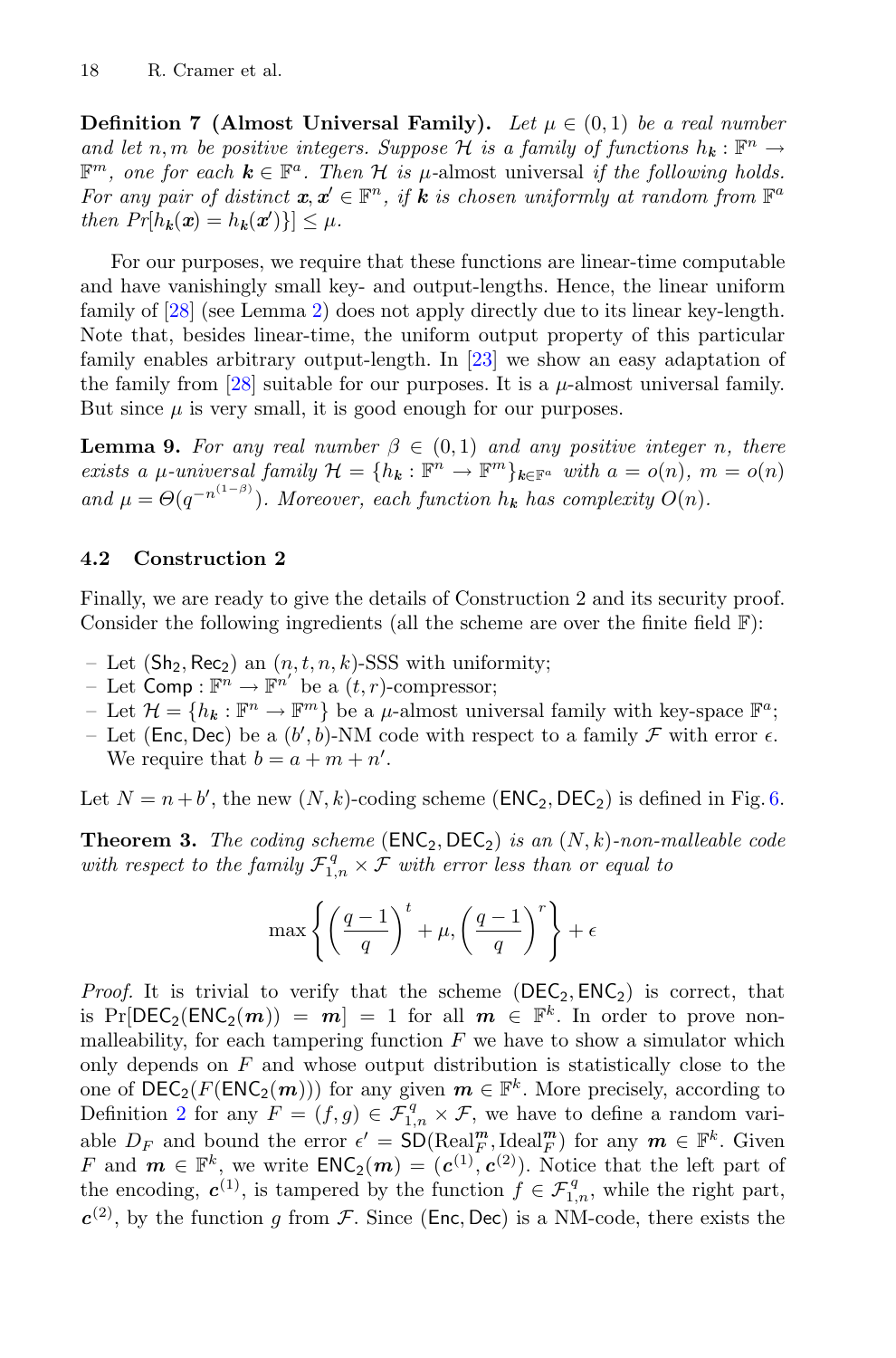**Definition 7 (Almost Universal Family).** Let  $\mu \in (0,1)$  be a real number *and let* n, m *be positive integers. Suppose* H *is a family of functions*  $h_k : \mathbb{F}^n \to$  $\mathbb{F}^m$ , one for each  $k \in \mathbb{F}^a$ . Then H is  $\mu$ -almost universal *if the following holds. For any pair of distinct*  $x, x' \in \mathbb{F}^n$ , if **k** is chosen uniformly at random from  $\mathbb{F}^a$ *then*  $Pr[h_k(\mathbf{x}) = h_k(\mathbf{x}')] \leq \mu$ .

For our purposes, we require that these functions are linear-time computable and have vanishingly small key- and output-lengths. Hence, the linear uniform family of [\[28\]](#page-23-4) (see Lemma [2\)](#page-9-2) does not apply directly due to its linear key-length. Note that, besides linear-time, the uniform output property of this particular family enables arbitrary output-length. In [\[23\]](#page-23-12) we show an easy adaptation of the family from [\[28](#page-23-4)] suitable for our purposes. It is a  $\mu$ -almost universal family. But since  $\mu$  is very small, it is good enough for our purposes.

<span id="page-17-1"></span>**Lemma 9.** For any real number  $\beta \in (0,1)$  and any positive integer n, there *exists a μ*-universal family  $\mathcal{H} = \{h_k : \mathbb{F}^n \to \mathbb{F}^m\}_{k \in \mathbb{F}^a}$  with  $a = o(n)$ ,  $m = o(n)$ and  $\mu = \Theta(q^{-n^{(1-\beta)}})$ . Moreover, each function  $h_k$  has complexity  $O(n)$ .

#### <span id="page-17-0"></span>**4.2 Construction 2**

Finally, we are ready to give the details of Construction 2 and its security proof. Consider the following ingredients (all the scheme are over the finite field  $\mathbb{F}$ ):

- Let  $(Sh_2, Rec_2)$  an  $(n, t, n, k)$ -SSS with uniformity;
- Let  $\text{Comp}: \mathbb{F}^n \to \mathbb{F}^{n'}$  be a  $(t, r)$ -compressor;<br>- Let  $\mathcal{H} = \{h_1 : \mathbb{F}^n \to \mathbb{F}^m\}$  be a u-almost univ
- Let  $\mathcal{H} = \{h_k : \mathbb{F}^n \to \mathbb{F}^m\}$  be a  $\mu$ -almost universal family with key-space  $\mathbb{F}^a$ ;
- Let (Enc, Dec) be a  $(b', b)$ -NM code with respect to a family  $\mathcal F$  with error  $\epsilon$ .<br>We require that  $b = a + m + n'$ We require that  $b = a + m + n'$ .

Let  $N = n + b'$ , the new  $(N, k)$ -coding scheme  $(\text{ENC}_2, \text{DEC}_2)$  is defined in Fig. [6.](#page-18-0)

**Theorem 3.** *The coding scheme* ( $\text{ENC}_2, \text{DEC}_2$ ) *is an*  $(N, k)$ *-non-malleable code* with respect to the family  $\mathcal{F}_{1,n}^q \times \mathcal{F}$  with error less than or equal to

$$
\max \left\{ \left( \frac{q-1}{q} \right)^t + \mu, \left( \frac{q-1}{q} \right)^r \right\} + \epsilon
$$

*Proof.* It is trivial to verify that the scheme  $(DEC_2, ENC_2)$  is correct, that is  $Pr[DEC_2(ENC_2(m)) = m] = 1$  for all  $m \in \mathbb{F}^k$ . In order to prove nonmalleability, for each tampering function  $F$  we have to show a simulator which only depends on  $F$  and whose output distribution is statistically close to the one of  $\text{DEC}_2(F(\text{ENC}_2(m)))$  for any given  $m \in \mathbb{F}^k$ . More precisely, according to Definition [2](#page-7-0) for any  $F = (f,g) \in \mathcal{F}_{1,n}^q \times \mathcal{F}$ , we have to define a random variable  $D_F$  and bound the error  $\epsilon' = \text{SD}(\text{Real}_F^m, \text{Ideal}_F^m)$  for any  $m \in \mathbb{F}^k$ . Given  $F$  and  $m \in \mathbb{F}^k$  we write  $\text{FNC}_2(m) = (c^{(1)} , c^{(2)})$ . Notice that the left part of F and  $m \in \mathbb{F}^k$ , we write  $ENC_2(m)=(c^{(1)}, c^{(2)})$ . Notice that the left part of the encoding,  $c^{(1)}$ , is tampered by the function  $f \in \mathcal{F}_{1,n}^q$ , while the right part,  $c^{(2)}$ , by the function g from F. Since (Enc, Dec) is a NM-code, there exists the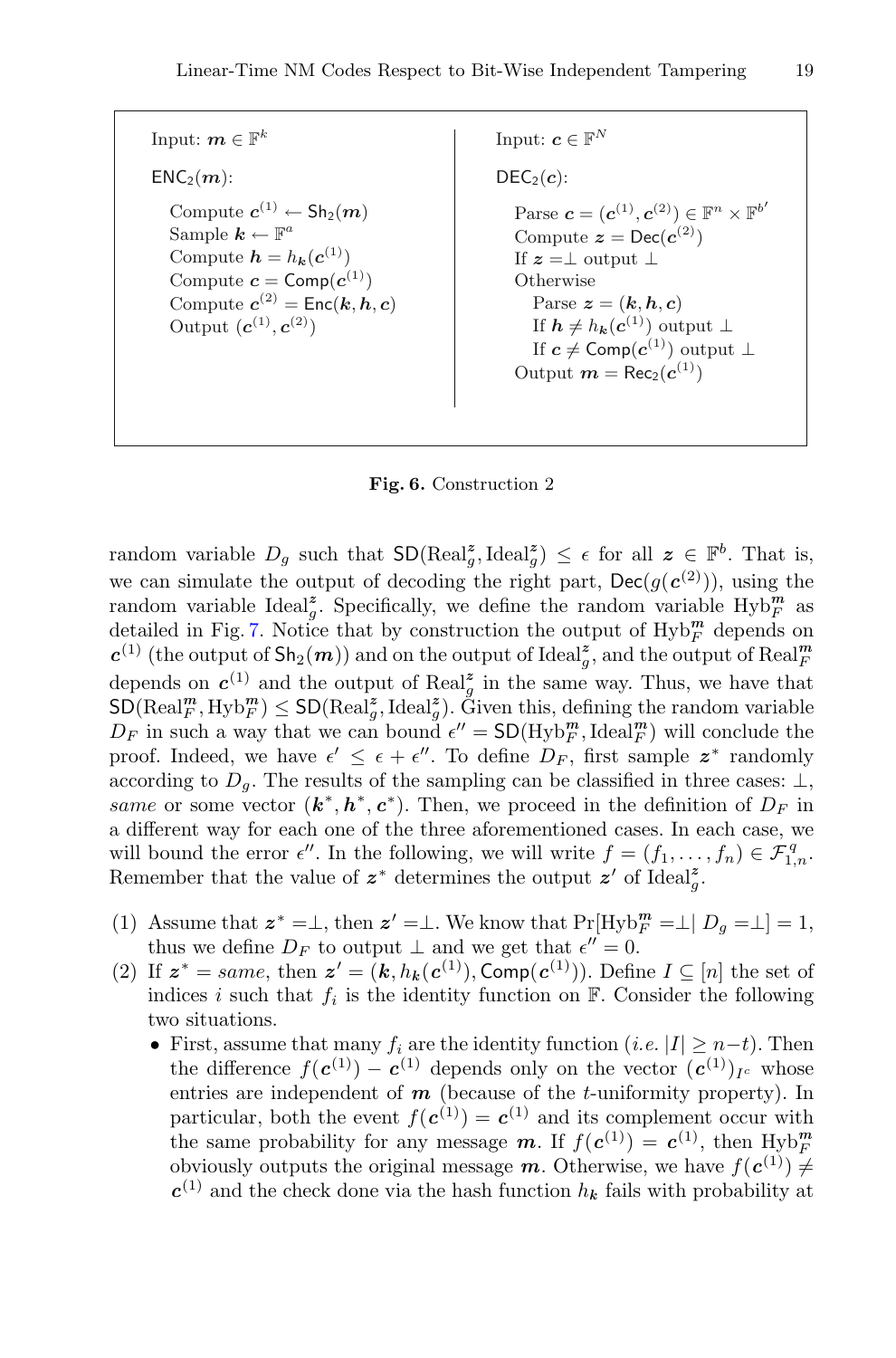Input:  $m \in \mathbb{F}^k$  $ENC<sub>2</sub>(m)$ : Compute  $c^{(1)} \leftarrow Sh_2(m)$ Sample  $k \leftarrow \mathbb{F}^a$ Compute  $h = h_k(c^{(1)})$ Compute  $\mathbf{c} = \textsf{Comp}(\mathbf{c}^{(1)})$ Compute  $c^{(2)} = \text{Enc}(\mathbf{k}, \mathbf{h}, \mathbf{c})$ Output  $(c^{(1)}, c^{(2)})$ 

Input:  $c \in \mathbb{F}^N$  $DEC<sub>2</sub>(c):$ Parse  $\mathbf{c} = (\mathbf{c}^{(1)}, \mathbf{c}^{(2)}) \in \mathbb{F}^n \times \mathbb{F}^{b'}$ Compute  $z = \text{Dec}(c^{(2)})$ If  $z = \perp$  output  $\perp$ **Otherwise** Parse  $z = (k, h, c)$ If  $h \neq h_k(c^{(1)})$  output ⊥ If  $c \neq$  Comp( $c^{(1)}$ ) output ⊥ Output  $m = \text{Rec}_2(c^{(1)})$ 

<span id="page-18-0"></span>

random variable  $D_g$  such that  $SD(Real_g^z, Ideal_g^z) \leq \epsilon$  for all  $z \in \mathbb{F}^b$ . That is, we can simulate the output of decoding the right part,  $\text{Dec}(q(\mathbf{c}^{(2)}))$ , using the random variable Ideal<sup>2</sup><sub>g</sub>. Specifically, we define the random variable  $Hyb<sub>F</sub><sup>m</sup>$  as detailed in Fig. [7.](#page-20-2) Notice that by construction the output of  $Hy\downarrow_p^m$  depends on  $c^{(1)}$  (the output of  $\text{Sh}_2(m)$ ) and on the output of Ideal<sub>g</sub><sup>2</sup>, and the output of Real<sub>*F*</sub><br>depends on  $c^{(1)}$  and the output of Real<sup>z</sup> in the same way. Thus, we have the depends on  $c^{(1)}$  and the output of Real<sub>g</sub><sup>2</sup> in the same way. Thus, we have that  $SD(Real_F^m, Hyp_m^m) \leq SD(Real_g^2, Ideal_g^2).$  Given this, defining the random variable  $D_F$  in such a way that we can bound  $\epsilon'' = SD(Hv h_m^m, [de_n]^m)$  will conclude the  $D_F$  in such a way that we can bound  $\epsilon'' = SD(Hyb_F^m, \text{Ideal}_F^m)$  will conclude the proof. Indeed, we have  $\epsilon' \leq \epsilon + \epsilon''$ . To define  $D_F$ , first sample  $z^*$  randomly according to  $D_q$ . The results of the sampling can be classified in three cases:  $\perp$ , same or some vector  $(k^*, h^*, c^*)$ . Then, we proceed in the definition of  $D_F$  in a different way for each one of the three aforementioned cases. In each case, we will bound the error  $\epsilon''$ . In the following, we will write  $f = (f_1, \ldots, f_n) \in \mathcal{F}_{1,n}^q$ . Remember that the value of  $z^*$  determines the output  $z'$  of Ideal<sub>g</sub><sup>2</sup>.

- (1) Assume that  $z^* = \perp$ , then  $z' = \perp$ . We know that  $Pr[Hyb_F^m = \perp | D_g = \perp] = 1$ , thus we define  $D_F$  to output  $\perp$  and we get that  $\epsilon'' = 0$ .
- (2) If  $z^* = same$ , then  $z' = (k, h_k(c^{(1)}), \text{Comp}(c^{(1)}))$ . Define  $I \subseteq [n]$  the set of indices i such that  $f_i$  is the identity function on  $\mathbb{F}$ . Consider the following two situations.
	- First, assume that many  $f_i$  are the identity function (*i.e.*  $|I| \geq n-t$ ). Then the difference  $f(c^{(1)}) - c^{(1)}$  depends only on the vector  $(c^{(1)})_{Ic}$  whose entries are independent of *m* (because of the t-uniformity property). In particular, both the event  $f(c^{(1)}) = c^{(1)}$  and its complement occur with the same probability for any message **m**. If  $f(c^{(1)}) = c^{(1)}$ , then Hyb<sub>F</sub> obviously outputs the original message **m**. Otherwise, we have  $f(c^{(1)}) \neq$  $c^{(1)}$  and the check done via the hash function  $h_k$  fails with probability at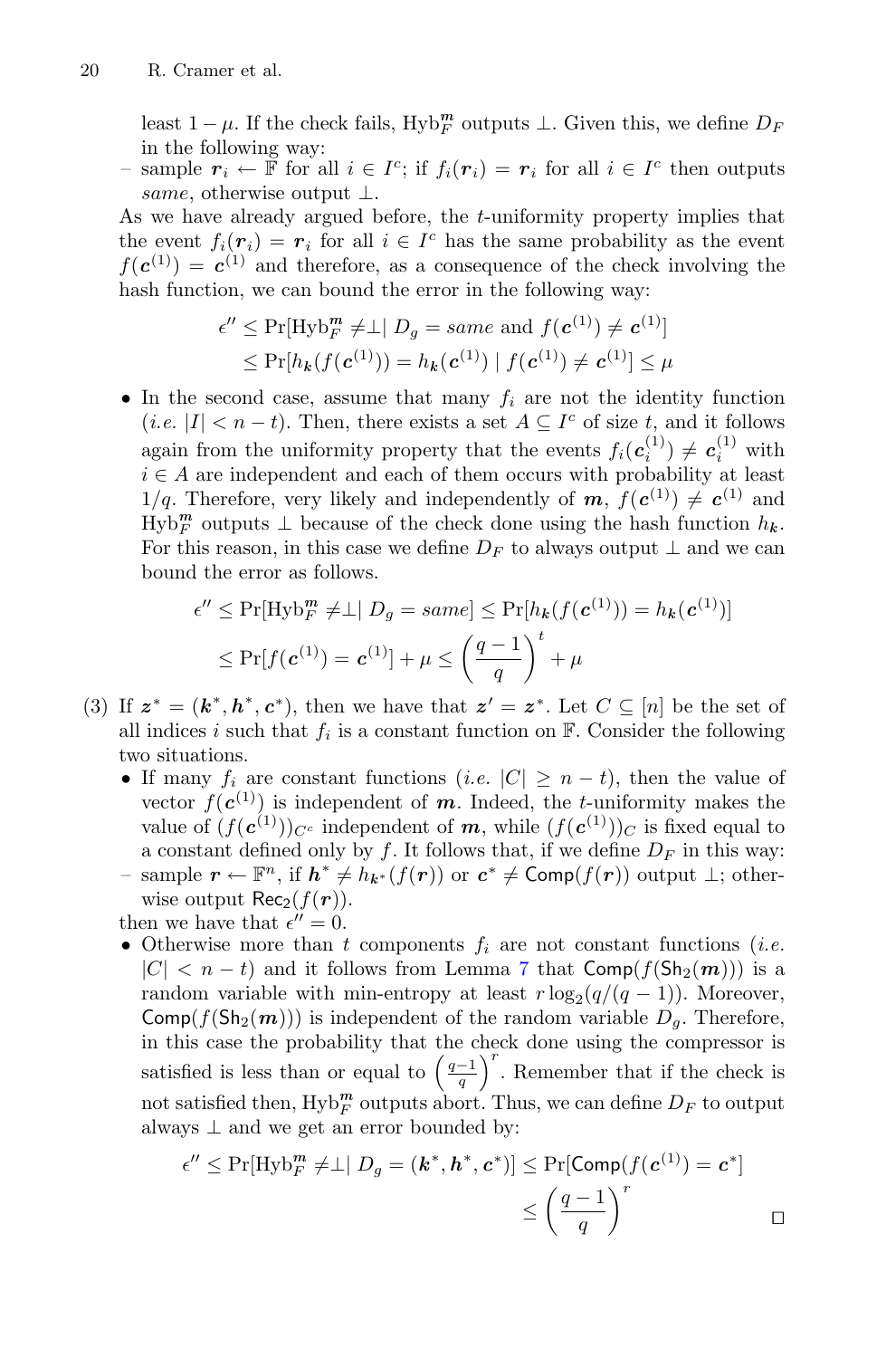least  $1 - \mu$ . If the check fails, Hyb<sup>m</sup><sub>*F*</sub> outputs  $\perp$ . Given this, we define  $D_F$ in the following way:

– sample  $r_i \leftarrow \mathbb{F}$  for all  $i \in I^c$ ; if  $f_i(r_i) = r_i$  for all  $i \in I^c$  then outputs same, otherwise output  $\perp$ .

As we have already argued before, the  $t$ -uniformity property implies that the event  $f_i(\mathbf{r}_i) = \mathbf{r}_i$  for all  $i \in I^c$  has the same probability as the event  $f(c^{(1)}) = c^{(1)}$  and therefore, as a consequence of the check involving the hash function, we can bound the error in the following way:

$$
\epsilon'' \leq \Pr[\text{Hyb}_F^m \neq \perp | D_g = \text{same} \text{ and } f(\mathbf{c}^{(1)}) \neq \mathbf{c}^{(1)}]
$$
  

$$
\leq \Pr[h_k(f(\mathbf{c}^{(1)})) = h_k(\mathbf{c}^{(1)}) | f(\mathbf{c}^{(1)}) \neq \mathbf{c}^{(1)}] \leq \mu
$$

• In the second case, assume that many  $f_i$  are not the identity function  $(i.e. |I| < n-t)$ . Then, there exists a set  $A \subseteq I^c$  of size t, and it follows again from the uniformity property that the events  $f_i(c_i^{(1)}) \neq c_i^{(1)}$  with  $i \in A$  are independent and each of them occurs with probability at least 1/q. Therefore, very likely and independently of  $m$ ,  $f(c^{(1)}) \neq c^{(1)}$  and  $H_y b_F^m$  outputs  $\perp$  because of the check done using the hash function  $h_k$ . For this reason, in this case we define  $D_F$  to always output  $\perp$  and we can bound the error as follows.

$$
\epsilon'' \leq \Pr[\text{Hyb}_F^m \neq \perp | D_g = same] \leq \Pr[h_k(f(\mathbf{c}^{(1)})) = h_k(\mathbf{c}^{(1)})]
$$

$$
\leq \Pr[f(\mathbf{c}^{(1)}) = \mathbf{c}^{(1)}] + \mu \leq \left(\frac{q-1}{q}\right)^t + \mu
$$

- (3) If  $z^* = (k^*, h^*, c^*)$ , then we have that  $z' = z^*$ . Let  $C \subseteq [n]$  be the set of all indices i such that  $f_i$  is a constant function on  $\mathbb{F}$ . Consider the following two situations.
	- If many  $f_i$  are constant functions (*i.e.*  $|C| \geq n t$ ), then the value of vector  $f(c^{(1)})$  is independent of *m*. Indeed, the *t*-uniformity makes the value of  $(f(\mathbf{c}^{(1)}))_{C^c}$  independent of **m**, while  $(f(\mathbf{c}^{(1)}))_{C}$  is fixed equal to a constant defined only by f. It follows that, if we define  $D_F$  in this way:
	- sample  $\mathbf{r} \leftarrow \mathbb{F}^n$ , if  $\mathbf{h}^* \neq h_{\mathbf{k}^*}(f(\mathbf{r}))$  or  $\mathbf{c}^* \neq \text{Comp}(f(\mathbf{r}))$  output ⊥; otherwise output  $\text{Rec}_2(f(\mathbf{r}))$ .

then we have that  $\epsilon'' = 0$ .

• Otherwise more than  $t$  components  $f_i$  are not constant functions (*i.e.*  $|C| < n - t$ ) and it follows from Lemma [7](#page-16-0) that  $Comp(f(Sh_2(m)))$  is a random variable with min-entropy at least  $r \log_2(q/(q-1))$ . Moreover,  $Comp(f(Sh_2(m)))$  is independent of the random variable  $D_q$ . Therefore, in this case the probability that the check done using the compressor is satisfied is less than or equal to  $\left(\frac{q-1}{q}\right)^r$ . Remember that if the check is not satisfied then,  $Hyb_F^m$  outputs abort. Thus, we can define  $D_F$  to output always  $\perp$  and we get an error bounded by:

$$
\epsilon'' \le \Pr[\text{Hyb}_{F}^{m} \neq \perp | D_g = (\mathbf{k}^*, \mathbf{h}^*, \mathbf{c}^*)] \le \Pr[\text{Comp}(f(\mathbf{c}^{(1)}) = \mathbf{c}^*]
$$

$$
\le \left(\frac{q-1}{q}\right)^r
$$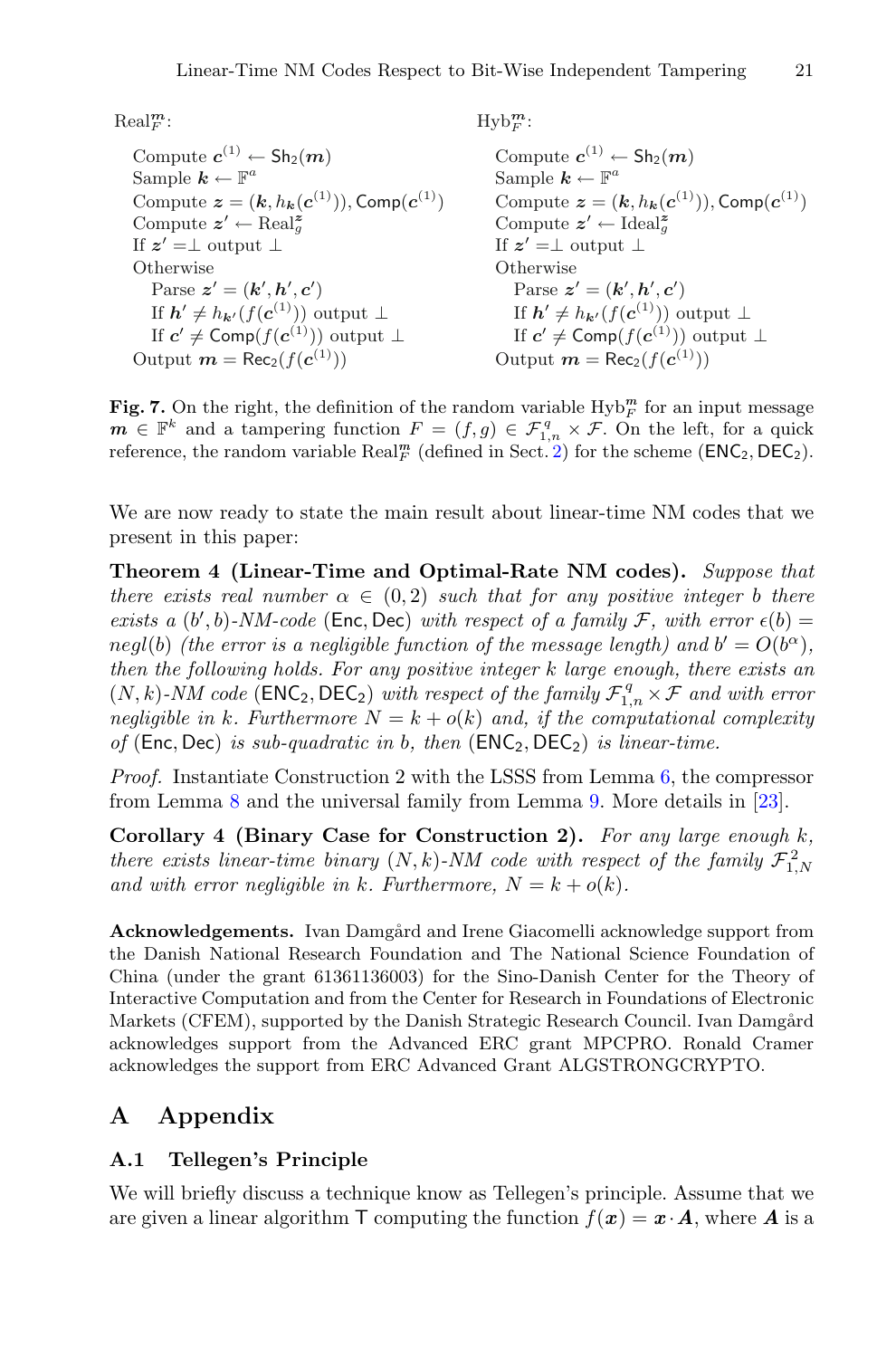$\text{Real}_{F}^{m}$ :

Compute  $c^{(1)} \leftarrow Sh_2(m)$ Sample  $k \leftarrow \mathbb{F}^a$ Compute  $z = (k, h_k(c^{(1)}))$ , Comp $(c^{(1)})$ Compute  $z' \leftarrow \text{Real}^z_{\alpha}$ g If  $z' = \perp$  output  $\perp$ **Otherwise** Parse  $z' = (k', h', c')$ If  $h' \neq h_{k'}(f(\mathbf{c}^{(1)}))$  output ⊥ If  $c' \neq$  Comp( $f(c^{(1)})$ ) output ⊥ Output  $m = \text{Rec}_2(f(\mathbf{c}^{(1)}))$ 

 $Hyb_F^m$ :

Compute  $c^{(1)} \leftarrow \text{Sh}_2(m)$ Sample  $k \leftarrow \mathbb{F}^a$ Compute  $\mathbf{z} = (\mathbf{k}, h_{\mathbf{k}}(\mathbf{c}^{(1)})), \text{Comp}(\mathbf{c}^{(1)})$ Compute  $z' \leftarrow \text{Ideal}^z_{\alpha}$ g If  $z' = \perp$  output  $\perp$ **Otherwise** Parse  $z' = (k', h', c')$ If  $h' \neq h_{k'}(f(\boldsymbol{c}^{(1)}))$  output ⊥ If  $c' \neq \text{Comp}(f(c^{(1)}))$  output ⊥ Output  $m = \text{Rec}_2(f(\mathbf{c}^{(1)}))$ 

<span id="page-20-2"></span>**Fig. 7.** On the right, the definition of the random variable  $Hyb_F^m$  for an input message  $m \in \mathbb{F}^k$  and a tampering function  $F = (f,g) \in \mathcal{F}_{1,n}^q \times \mathcal{F}$ . On the left, for a quick<br>reference the random variable Real<sup>m</sup> (defined in Sect. 2) for the scheme (FNC<sub>o</sub> DEC<sub>o</sub>) reference, the random variable  $\text{Real}_{F}^{m}$  (defined in Sect. [2\)](#page-5-0) for the scheme ( $\text{ENC}_2, \text{DEC}_2$ ).

<span id="page-20-0"></span>We are now ready to state the main result about linear-time NM codes that we present in this paper:

**Theorem 4 (Linear-Time and Optimal-Rate NM codes).** *Suppose that there exists real number*  $\alpha \in (0, 2)$  *such that for any positive integer b there exists a*  $(b', b)$ -*NM-code* (Enc, Dec) *with respect of a family*  $\mathcal{F}$ , *with error*  $\epsilon(b)$  =  $\alpha(b)$  *real(b) (the error is a pealiaible function of the message length)* and  $b' = O(b^{\alpha})$ negl(b) *(the error is a negligible function of the message length) and*  $b' = O(b^{\alpha})$ , *then the following holds. For any positive integer* k *large enough, there exists an*  $(N, k)$ -NM code (**ENC**<sub>2</sub>, **DEC**<sub>2</sub>) *with respect of the family*  $\mathcal{F}_{1,n}^q \times \mathcal{F}$  *and with error negligible in k. Furthermore*  $N - k + o(k)$  *and if the computational complexity negligible in* k. Furthermore  $N = k + o(k)$  and, if the computational complexity *of* (Enc, Dec) *is sub-quadratic in* <sup>b</sup>*, then* (ENC<sup>2</sup>, DEC<sup>2</sup>) *is linear-time.*

*Proof.* Instantiate Construction 2 with the LSSS from Lemma [6,](#page-15-0) the compressor from Lemma [8](#page-16-1) and the universal family from Lemma [9.](#page-17-1) More details in [\[23](#page-23-12)].

**Corollary 4 (Binary Case for Construction 2).** *For any large enough* k*, there exists linear-time binary*  $(N, k)$ -NM code with respect of the family  $\mathcal{F}_{1,N}^2$ and with error negligible in k. Furthermore,  $N = k + o(k)$ .

**Acknowledgements.** Ivan Damgård and Irene Giacomelli acknowledge support from the Danish National Research Foundation and The National Science Foundation of China (under the grant 61361136003) for the Sino-Danish Center for the Theory of Interactive Computation and from the Center for Research in Foundations of Electronic Markets (CFEM), supported by the Danish Strategic Research Council. Ivan Damgård acknowledges support from the Advanced ERC grant MPCPRO. Ronald Cramer acknowledges the support from ERC Advanced Grant ALGSTRONGCRYPTO.

### **A Appendix**

#### <span id="page-20-1"></span>**A.1 Tellegen's Principle**

We will briefly discuss a technique know as Tellegen's principle. Assume that we are given a linear algorithm  $\top$  computing the function  $f(x) = x \cdot A$ , where A is a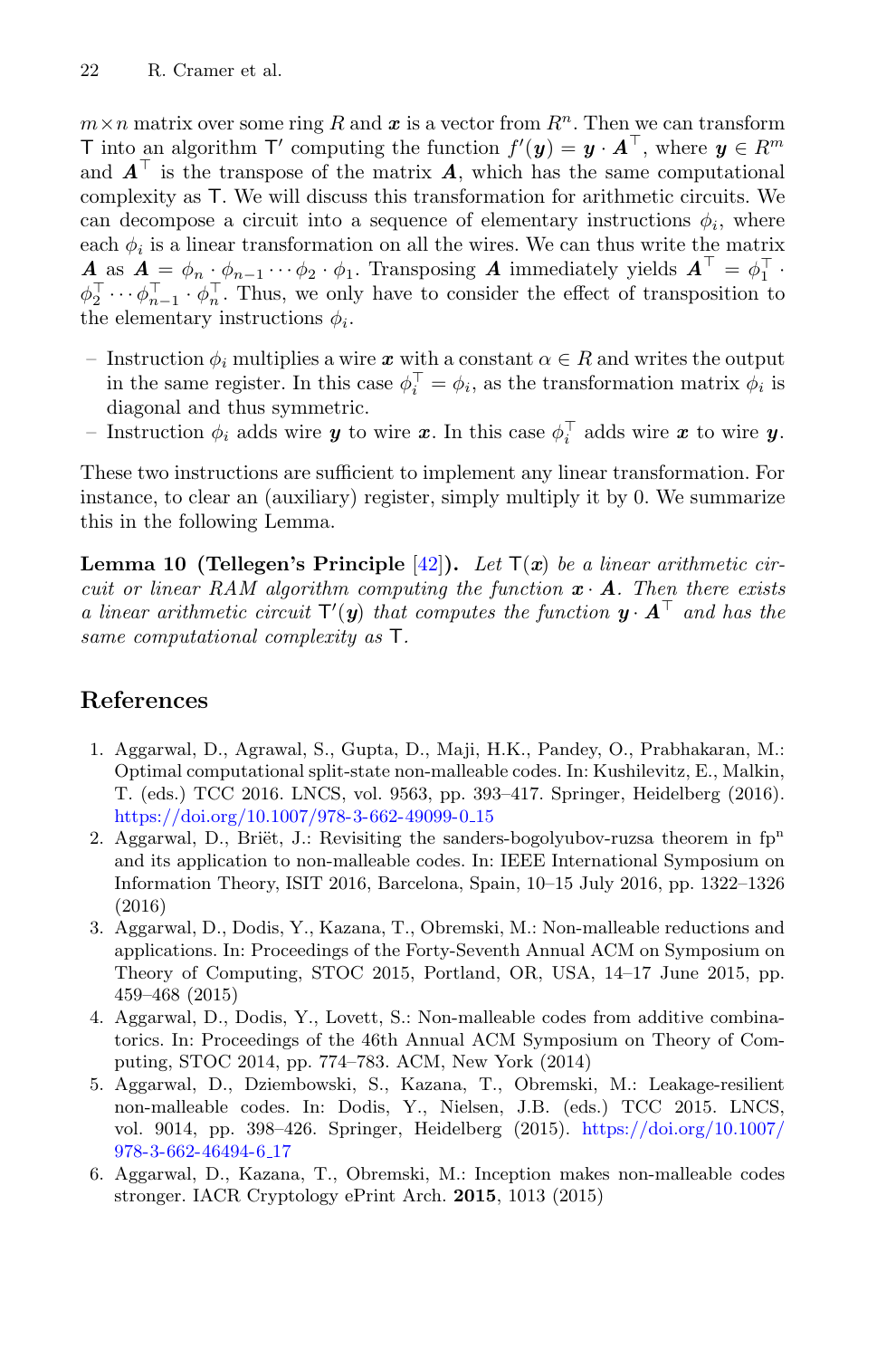$m \times n$  matrix over some ring R and x is a vector from  $R^n$ . Then we can transform T into an algorithm  $\mathsf{T}'$  computing the function  $f'(\mathbf{y}) = \mathbf{y} \cdot \mathbf{A}^{\top}$ , where  $\mathbf{y} \in R^m$  and  $\mathbf{A}^{\top}$  is the transpose of the matrix  $\mathbf{A}$ , which has the same computational T into an algorithm T' computing the function  $f'(\mathbf{y}) = \mathbf{y} \cdot \mathbf{A}^\top$ , where  $\mathbf{y} \in R^m$ complexity as T. We will discuss this transformation for arithmetic circuits. We can decompose a circuit into a sequence of elementary instructions  $\phi_i$ , where each  $\phi_i$  is a linear transformation on all the wires. We can thus write the matrix  $\vec{A}$  as  $\vec{A} = \phi_n \cdot \phi_{n-1} \cdots \phi_2 \cdot \phi_1$ . Transposing  $\vec{A}$  immediately yields  $\vec{A}^{\top} = \phi_1^{\top} \cdot \vec{A}$  $\phi_2^{\perp} \cdots \phi_{n-1}^{\perp} \cdot \phi_n^{\perp}$ . Thus, we only have to consider the effect of transposition to the elementary instructions  $\phi_i$ .

- Instruction  $\phi_i$  multiplies a wire x with a constant  $\alpha \in R$  and writes the output in the same register. In this case  $\phi_i^+ = \phi_i$ , as the transformation matrix  $\phi_i$  is diagonal and thus symmetric.
- Instruction  $\phi_i$  adds wire *y* to wire *x*. In this case  $\phi_i^{\top}$  adds wire *x* to wire *y*.

These two instructions are sufficient to implement any linear transformation. For instance, to clear an (auxiliary) register, simply multiply it by 0. We summarize this in the following Lemma.

**Lemma 10 (Tellegen's Principle**  $[42]$ ). Let  $T(x)$  be a linear arithmetic cir*cuit or linear RAM algorithm computing the function*  $\mathbf{x} \cdot \mathbf{A}$ *. Then there exists a linear arithmetic circuit*  $T'(\mathbf{y})$  *that computes the function*  $\mathbf{y} \cdot \mathbf{A}^{\top}$  *and has the*<br>same computational complexity as  $\mathbf{T}$ *same computational complexity as* T*.*

## **References**

- <span id="page-21-4"></span>1. Aggarwal, D., Agrawal, S., Gupta, D., Maji, H.K., Pandey, O., Prabhakaran, M.: Optimal computational split-state non-malleable codes. In: Kushilevitz, E., Malkin, T. (eds.) TCC 2016. LNCS, vol. 9563, pp. 393–417. Springer, Heidelberg (2016). [https://doi.org/10.1007/978-3-662-49099-0](https://doi.org/10.1007/978-3-662-49099-0_15) 15
- <span id="page-21-3"></span>2. Aggarwal, D., Briët, J.: Revisiting the sanders-bogolyubov-ruzsa theorem in  $fp<sup>n</sup>$ and its application to non-malleable codes. In: IEEE International Symposium on Information Theory, ISIT 2016, Barcelona, Spain, 10–15 July 2016, pp. 1322–1326 (2016)
- <span id="page-21-0"></span>3. Aggarwal, D., Dodis, Y., Kazana, T., Obremski, M.: Non-malleable reductions and applications. In: Proceedings of the Forty-Seventh Annual ACM on Symposium on Theory of Computing, STOC 2015, Portland, OR, USA, 14–17 June 2015, pp. 459–468 (2015)
- <span id="page-21-2"></span>4. Aggarwal, D., Dodis, Y., Lovett, S.: Non-malleable codes from additive combinatorics. In: Proceedings of the 46th Annual ACM Symposium on Theory of Computing, STOC 2014, pp. 774–783. ACM, New York (2014)
- <span id="page-21-1"></span>5. Aggarwal, D., Dziembowski, S., Kazana, T., Obremski, M.: Leakage-resilient non-malleable codes. In: Dodis, Y., Nielsen, J.B. (eds.) TCC 2015. LNCS, vol. 9014, pp. 398–426. Springer, Heidelberg (2015). [https://doi.org/10.1007/](https://doi.org/10.1007/978-3-662-46494-6_17) [978-3-662-46494-6](https://doi.org/10.1007/978-3-662-46494-6_17) 17
- <span id="page-21-5"></span>6. Aggarwal, D., Kazana, T., Obremski, M.: Inception makes non-malleable codes stronger. IACR Cryptology ePrint Arch. **2015**, 1013 (2015)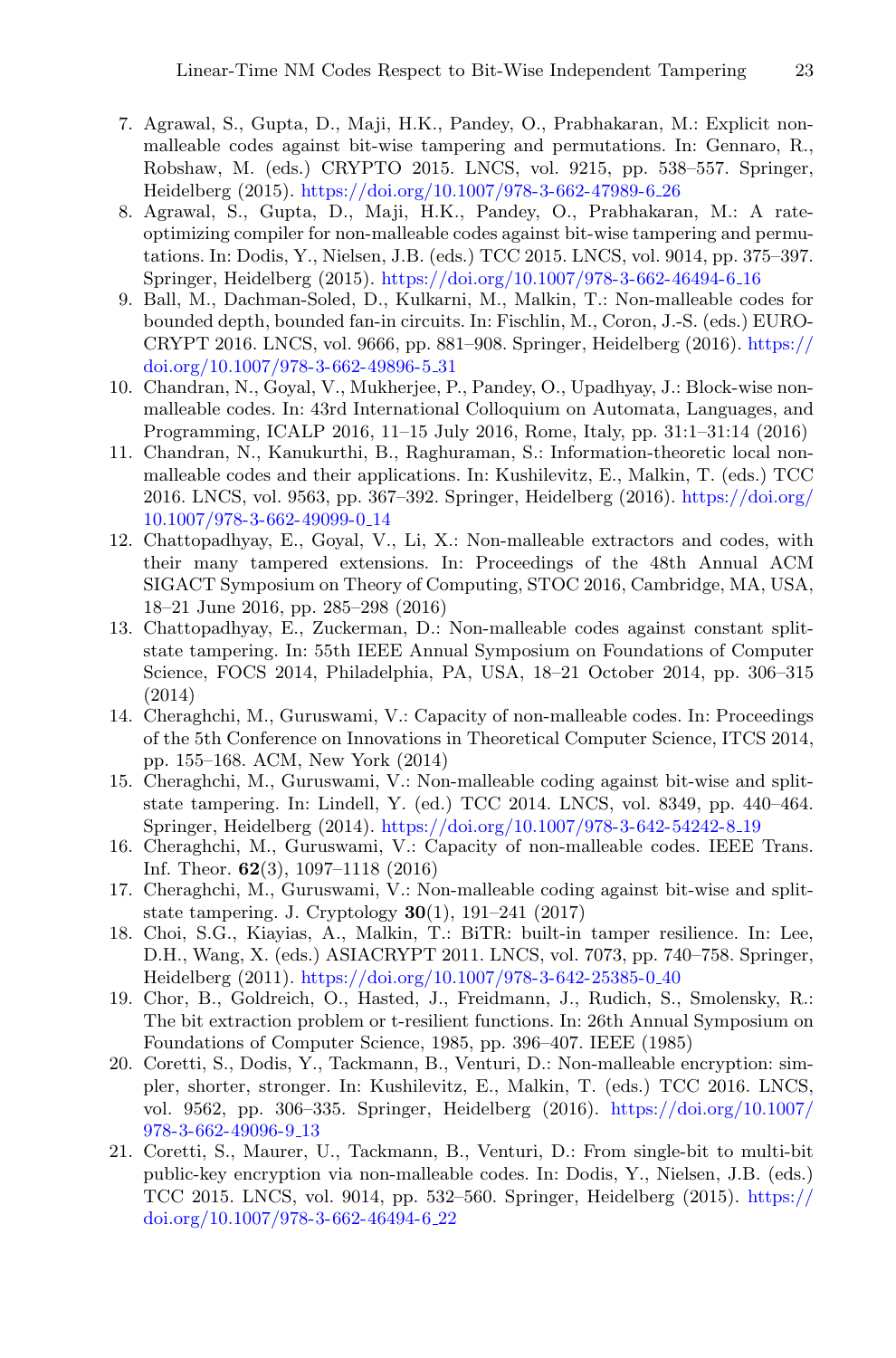- <span id="page-22-0"></span>7. Agrawal, S., Gupta, D., Maji, H.K., Pandey, O., Prabhakaran, M.: Explicit nonmalleable codes against bit-wise tampering and permutations. In: Gennaro, R., Robshaw, M. (eds.) CRYPTO 2015. LNCS, vol. 9215, pp. 538–557. Springer, Heidelberg (2015). [https://doi.org/10.1007/978-3-662-47989-6](https://doi.org/10.1007/978-3-662-47989-6_26) 26
- <span id="page-22-3"></span>8. Agrawal, S., Gupta, D., Maji, H.K., Pandey, O., Prabhakaran, M.: A rateoptimizing compiler for non-malleable codes against bit-wise tampering and permutations. In: Dodis, Y., Nielsen, J.B. (eds.) TCC 2015. LNCS, vol. 9014, pp. 375–397. Springer, Heidelberg (2015). [https://doi.org/10.1007/978-3-662-46494-6](https://doi.org/10.1007/978-3-662-46494-6_16) 16
- <span id="page-22-10"></span>9. Ball, M., Dachman-Soled, D., Kulkarni, M., Malkin, T.: Non-malleable codes for bounded depth, bounded fan-in circuits. In: Fischlin, M., Coron, J.-S. (eds.) EURO-CRYPT 2016. LNCS, vol. 9666, pp. 881–908. Springer, Heidelberg (2016). [https://](https://doi.org/10.1007/978-3-662-49896-5_31) [doi.org/10.1007/978-3-662-49896-5](https://doi.org/10.1007/978-3-662-49896-5_31) 31
- <span id="page-22-12"></span>10. Chandran, N., Goyal, V., Mukherjee, P., Pandey, O., Upadhyay, J.: Block-wise nonmalleable codes. In: 43rd International Colloquium on Automata, Languages, and Programming, ICALP 2016, 11–15 July 2016, Rome, Italy, pp. 31:1–31:14 (2016)
- <span id="page-22-13"></span>11. Chandran, N., Kanukurthi, B., Raghuraman, S.: Information-theoretic local nonmalleable codes and their applications. In: Kushilevitz, E., Malkin, T. (eds.) TCC 2016. LNCS, vol. 9563, pp. 367–392. Springer, Heidelberg (2016). [https://doi.org/](https://doi.org/10.1007/978-3-662-49099-0_14) [10.1007/978-3-662-49099-0](https://doi.org/10.1007/978-3-662-49099-0_14) 14
- <span id="page-22-11"></span>12. Chattopadhyay, E., Goyal, V., Li, X.: Non-malleable extractors and codes, with their many tampered extensions. In: Proceedings of the 48th Annual ACM SIGACT Symposium on Theory of Computing, STOC 2016, Cambridge, MA, USA, 18–21 June 2016, pp. 285–298 (2016)
- <span id="page-22-9"></span>13. Chattopadhyay, E., Zuckerman, D.: Non-malleable codes against constant splitstate tampering. In: 55th IEEE Annual Symposium on Foundations of Computer Science, FOCS 2014, Philadelphia, PA, USA, 18–21 October 2014, pp. 306–315 (2014)
- <span id="page-22-6"></span>14. Cheraghchi, M., Guruswami, V.: Capacity of non-malleable codes. In: Proceedings of the 5th Conference on Innovations in Theoretical Computer Science, ITCS 2014, pp. 155–168. ACM, New York (2014)
- <span id="page-22-4"></span>15. Cheraghchi, M., Guruswami, V.: Non-malleable coding against bit-wise and splitstate tampering. In: Lindell, Y. (ed.) TCC 2014. LNCS, vol. 8349, pp. 440–464. Springer, Heidelberg (2014). [https://doi.org/10.1007/978-3-642-54242-8](https://doi.org/10.1007/978-3-642-54242-8_19) 19
- <span id="page-22-7"></span>16. Cheraghchi, M., Guruswami, V.: Capacity of non-malleable codes. IEEE Trans. Inf. Theor. **62**(3), 1097–1118 (2016)
- <span id="page-22-5"></span>17. Cheraghchi, M., Guruswami, V.: Non-malleable coding against bit-wise and splitstate tampering. J. Cryptology **30**(1), 191–241 (2017)
- <span id="page-22-8"></span>18. Choi, S.G., Kiayias, A., Malkin, T.: BiTR: built-in tamper resilience. In: Lee, D.H., Wang, X. (eds.) ASIACRYPT 2011. LNCS, vol. 7073, pp. 740–758. Springer, Heidelberg (2011). [https://doi.org/10.1007/978-3-642-25385-0](https://doi.org/10.1007/978-3-642-25385-0_40) 40
- <span id="page-22-14"></span>19. Chor, B., Goldreich, O., Hasted, J., Freidmann, J., Rudich, S., Smolensky, R.: The bit extraction problem or t-resilient functions. In: 26th Annual Symposium on Foundations of Computer Science, 1985, pp. 396–407. IEEE (1985)
- <span id="page-22-1"></span>20. Coretti, S., Dodis, Y., Tackmann, B., Venturi, D.: Non-malleable encryption: simpler, shorter, stronger. In: Kushilevitz, E., Malkin, T. (eds.) TCC 2016. LNCS, vol. 9562, pp. 306–335. Springer, Heidelberg (2016). [https://doi.org/10.1007/](https://doi.org/10.1007/978-3-662-49096-9_13) [978-3-662-49096-9](https://doi.org/10.1007/978-3-662-49096-9_13) 13
- <span id="page-22-2"></span>21. Coretti, S., Maurer, U., Tackmann, B., Venturi, D.: From single-bit to multi-bit public-key encryption via non-malleable codes. In: Dodis, Y., Nielsen, J.B. (eds.) TCC 2015. LNCS, vol. 9014, pp. 532–560. Springer, Heidelberg (2015). [https://](https://doi.org/10.1007/978-3-662-46494-6_22) [doi.org/10.1007/978-3-662-46494-6](https://doi.org/10.1007/978-3-662-46494-6_22) 22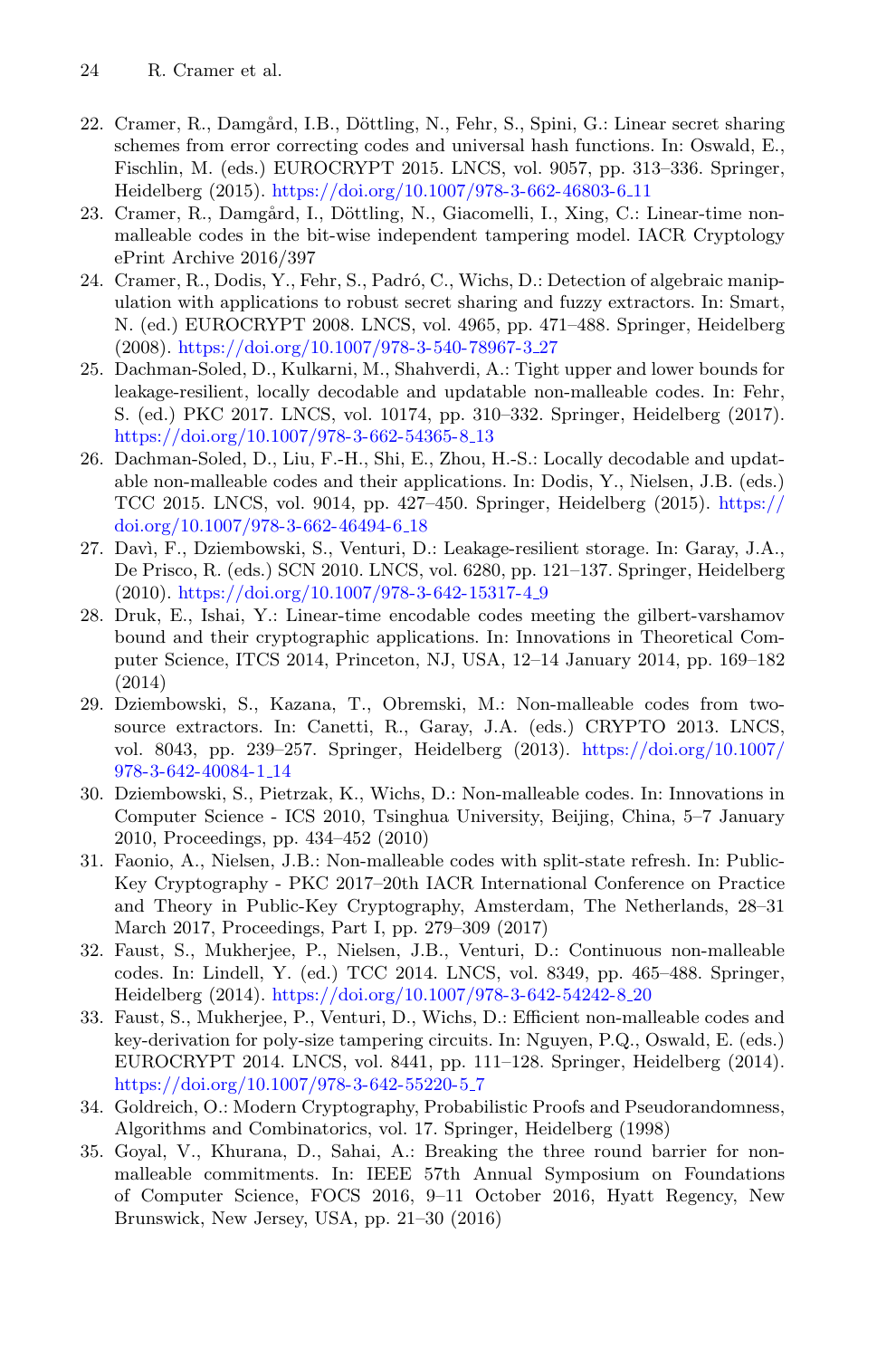- <span id="page-23-5"></span>22. Cramer, R., Damgård, I.B., Döttling, N., Fehr, S., Spini, G.: Linear secret sharing schemes from error correcting codes and universal hash functions. In: Oswald, E., Fischlin, M. (eds.) EUROCRYPT 2015. LNCS, vol. 9057, pp. 313–336. Springer, Heidelberg (2015). [https://doi.org/10.1007/978-3-662-46803-6](https://doi.org/10.1007/978-3-662-46803-6_11) 11
- <span id="page-23-12"></span>23. Cramer, R., Damgård, I., Döttling, N., Giacomelli, I., Xing, C.: Linear-time nonmalleable codes in the bit-wise independent tampering model. IACR Cryptology ePrint Archive 2016/397
- <span id="page-23-1"></span>24. Cramer, R., Dodis, Y., Fehr, S., Padró, C., Wichs, D.: Detection of algebraic manipulation with applications to robust secret sharing and fuzzy extractors. In: Smart, N. (ed.) EUROCRYPT 2008. LNCS, vol. 4965, pp. 471–488. Springer, Heidelberg (2008). [https://doi.org/10.1007/978-3-540-78967-3](https://doi.org/10.1007/978-3-540-78967-3_27) 27
- <span id="page-23-10"></span>25. Dachman-Soled, D., Kulkarni, M., Shahverdi, A.: Tight upper and lower bounds for leakage-resilient, locally decodable and updatable non-malleable codes. In: Fehr, S. (ed.) PKC 2017. LNCS, vol. 10174, pp. 310–332. Springer, Heidelberg (2017). [https://doi.org/10.1007/978-3-662-54365-8](https://doi.org/10.1007/978-3-662-54365-8_13)<sub>-13</sub>
- <span id="page-23-11"></span>26. Dachman-Soled, D., Liu, F.-H., Shi, E., Zhou, H.-S.: Locally decodable and updatable non-malleable codes and their applications. In: Dodis, Y., Nielsen, J.B. (eds.) TCC 2015. LNCS, vol. 9014, pp. 427–450. Springer, Heidelberg (2015). [https://](https://doi.org/10.1007/978-3-662-46494-6_18) [doi.org/10.1007/978-3-662-46494-6](https://doi.org/10.1007/978-3-662-46494-6_18) 18
- <span id="page-23-3"></span>27. Dav`ı, F., Dziembowski, S., Venturi, D.: Leakage-resilient storage. In: Garay, J.A., De Prisco, R. (eds.) SCN 2010. LNCS, vol. 6280, pp. 121–137. Springer, Heidelberg (2010). [https://doi.org/10.1007/978-3-642-15317-4](https://doi.org/10.1007/978-3-642-15317-4_9) 9
- <span id="page-23-4"></span>28. Druk, E., Ishai, Y.: Linear-time encodable codes meeting the gilbert-varshamov bound and their cryptographic applications. In: Innovations in Theoretical Computer Science, ITCS 2014, Princeton, NJ, USA, 12–14 January 2014, pp. 169–182 (2014)
- <span id="page-23-6"></span>29. Dziembowski, S., Kazana, T., Obremski, M.: Non-malleable codes from twosource extractors. In: Canetti, R., Garay, J.A. (eds.) CRYPTO 2013. LNCS, vol. 8043, pp. 239–257. Springer, Heidelberg (2013). [https://doi.org/10.1007/](https://doi.org/10.1007/978-3-642-40084-1_14) [978-3-642-40084-1](https://doi.org/10.1007/978-3-642-40084-1_14) 14
- <span id="page-23-0"></span>30. Dziembowski, S., Pietrzak, K., Wichs, D.: Non-malleable codes. In: Innovations in Computer Science - ICS 2010, Tsinghua University, Beijing, China, 5–7 January 2010, Proceedings, pp. 434–452 (2010)
- <span id="page-23-8"></span>31. Faonio, A., Nielsen, J.B.: Non-malleable codes with split-state refresh. In: Public-Key Cryptography - PKC 2017–20th IACR International Conference on Practice and Theory in Public-Key Cryptography, Amsterdam, The Netherlands, 28–31 March 2017, Proceedings, Part I, pp. 279–309 (2017)
- <span id="page-23-7"></span>32. Faust, S., Mukherjee, P., Nielsen, J.B., Venturi, D.: Continuous non-malleable codes. In: Lindell, Y. (ed.) TCC 2014. LNCS, vol. 8349, pp. 465–488. Springer, Heidelberg (2014). [https://doi.org/10.1007/978-3-642-54242-8](https://doi.org/10.1007/978-3-642-54242-8_20) 20
- <span id="page-23-2"></span>33. Faust, S., Mukherjee, P., Venturi, D., Wichs, D.: Efficient non-malleable codes and key-derivation for poly-size tampering circuits. In: Nguyen, P.Q., Oswald, E. (eds.) EUROCRYPT 2014. LNCS, vol. 8441, pp. 111–128. Springer, Heidelberg (2014). [https://doi.org/10.1007/978-3-642-55220-5](https://doi.org/10.1007/978-3-642-55220-5_7) 7
- <span id="page-23-13"></span>34. Goldreich, O.: Modern Cryptography, Probabilistic Proofs and Pseudorandomness, Algorithms and Combinatorics, vol. 17. Springer, Heidelberg (1998)
- <span id="page-23-9"></span>35. Goyal, V., Khurana, D., Sahai, A.: Breaking the three round barrier for nonmalleable commitments. In: IEEE 57th Annual Symposium on Foundations of Computer Science, FOCS 2016, 9–11 October 2016, Hyatt Regency, New Brunswick, New Jersey, USA, pp. 21–30 (2016)